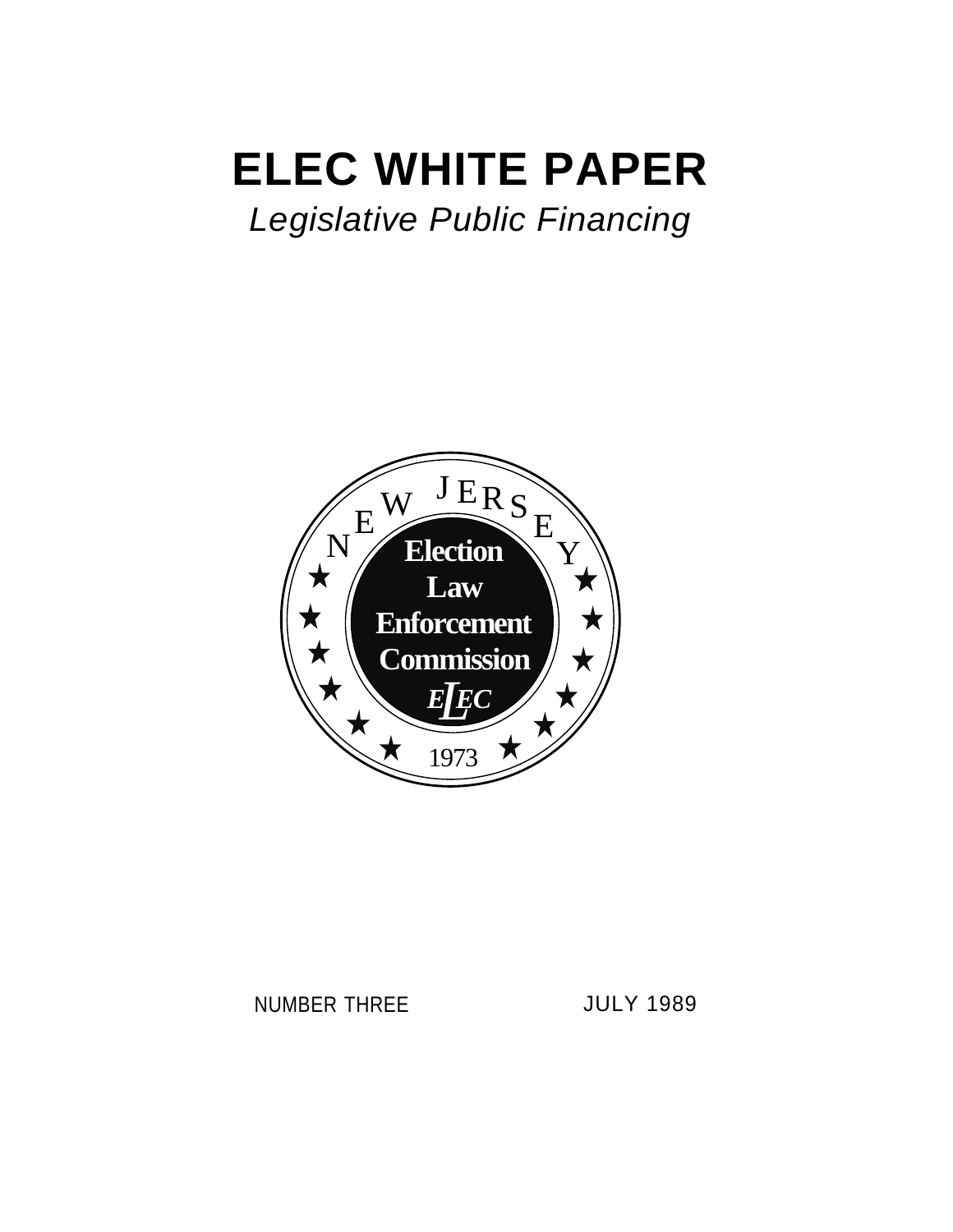# **ELEC WHITE PAPER**

# *Legislative Public Financing*



## NUMBER THREE JULY 1989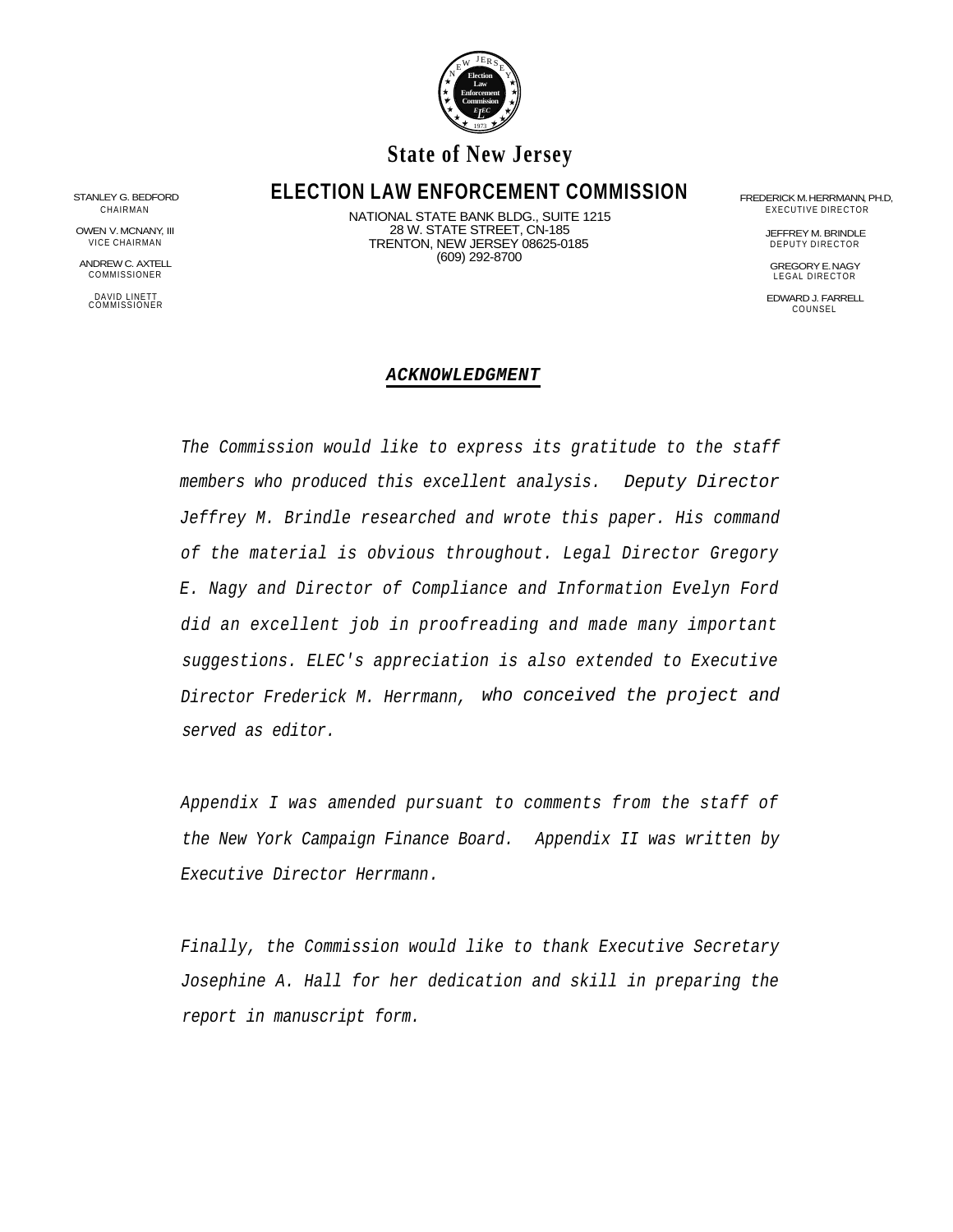

### **State of New Jersey**

# STANLEY G. BEDFORD **ELECTION LAW ENFORCEMENT COMMISSION** FREDERICK M. HERRMANN, PH.D,

ANDREW C. AXTELL GREGORY E. NAGY COMMISSIONER LEGAL DIRECTOR

CHAIRMAN EXECUTIVE DIRECTOR DESCRIPTION NATIONAL STATE BANK BLDG., SUITE 1215<br>28 W. STATE STREET, CN-185 28 W. STATE STREET, CN-185 OWEN V. MCNANY, III JEFFREY M. BRINDLE VICE CHAIRMAN **Solution Contract Contract Contract Contract Contract Contract Contract Contract Contract Contract Contract Contract On the DEPUTY DIRECTOR** (609) 292-8700

DAVID LINETT<br>COMMISSIONER EDWARD J. FARRELL COUNSEL EDWARD J. FARRELL COUNSEL COUNSEL COUNSEL COUNSEL COUNSEL

#### *ACKNOWLEDGMENT*

*The Commission would like to express its gratitude to the staff members who produced this excellent analysis. Deputy Director Jeffrey M. Brindle researched and wrote this paper. His command of the material is obvious throughout. Legal Director Gregory E. Nagy and Director of Compliance and Information Evelyn Ford did an excellent job in proofreading and made many important suggestions. ELEC's appreciation is also extended to Executive Director Frederick M. Herrmann, who conceived the project and served as editor.*

*Appendix I was amended pursuant to comments from the staff of the New York Campaign Finance Board. Appendix II was written by Executive Director Herrmann.*

*Finally, the Commission would like to thank Executive Secretary Josephine A. Hall for her dedication and skill in preparing the report in manuscript form.*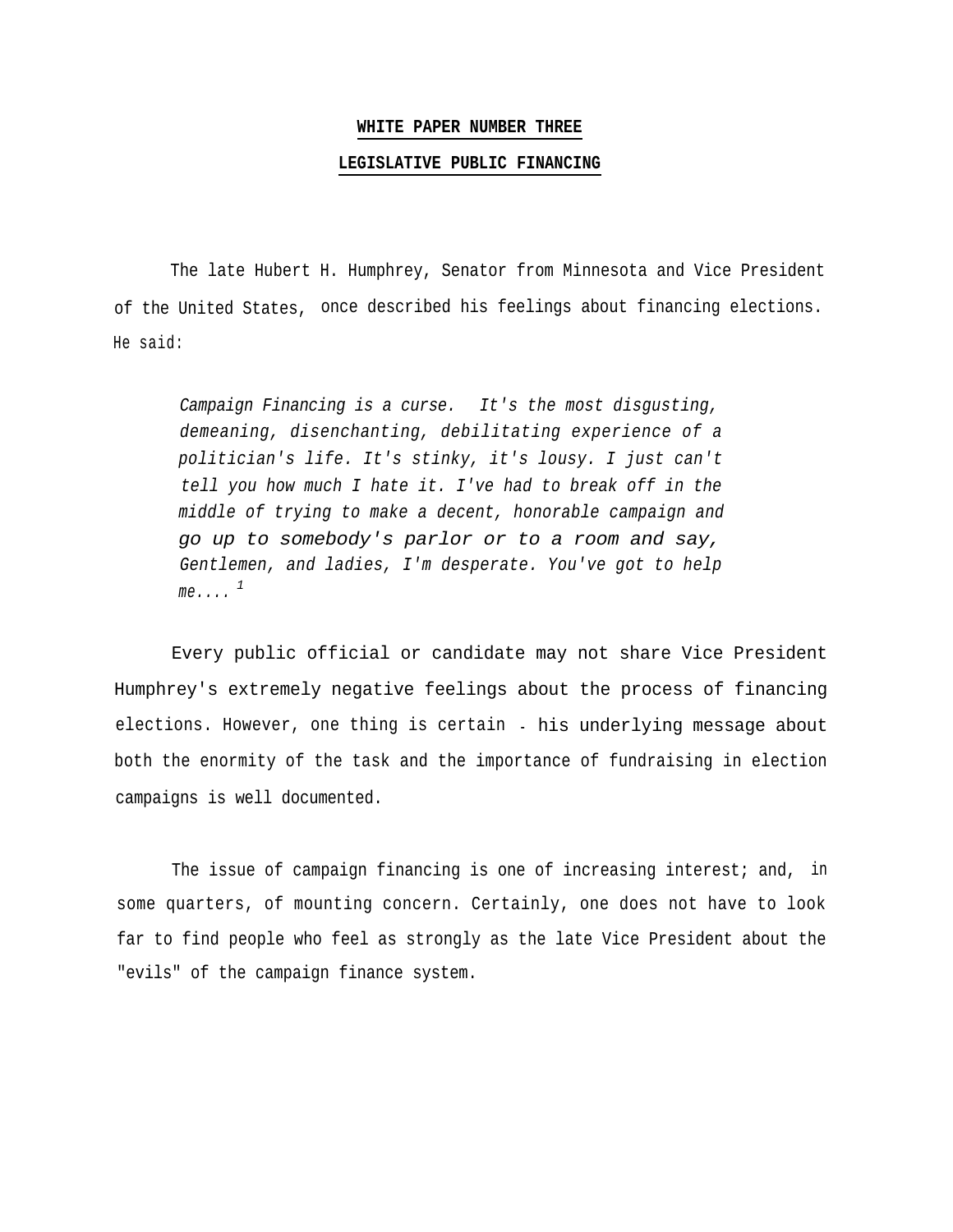#### **WHITE PAPER NUMBER THREE**

#### **LEGISLATIVE PUBLIC FINANCING**

The late Hubert H. Humphrey, Senator from Minnesota and Vice President of the United States, once described his feelings about financing elections. He said:

*Campaign Financing is a curse. It's the most disgusting, demeaning, disenchanting, debilitating experience of a politician's life. It's stinky, it's lousy. I just can't tell you how much I hate it. I've had to break off in the middle of trying to make a decent, honorable campaign and go up to somebody's parlor or to a room and say, Gentlemen, and ladies, I'm desperate. You've got to help*  $me...$ <sup>1</sup>

Every public official or candidate may not share Vice President Humphrey's extremely negative feelings about the process of financing elections. However, one thing is certain - his underlying message about both the enormity of the task and the importance of fundraising in election campaigns is well documented.

The issue of campaign financing is one of increasing interest; and, in some quarters, of mounting concern. Certainly, one does not have to look far to find people who feel as strongly as the late Vice President about the "evils" of the campaign finance system.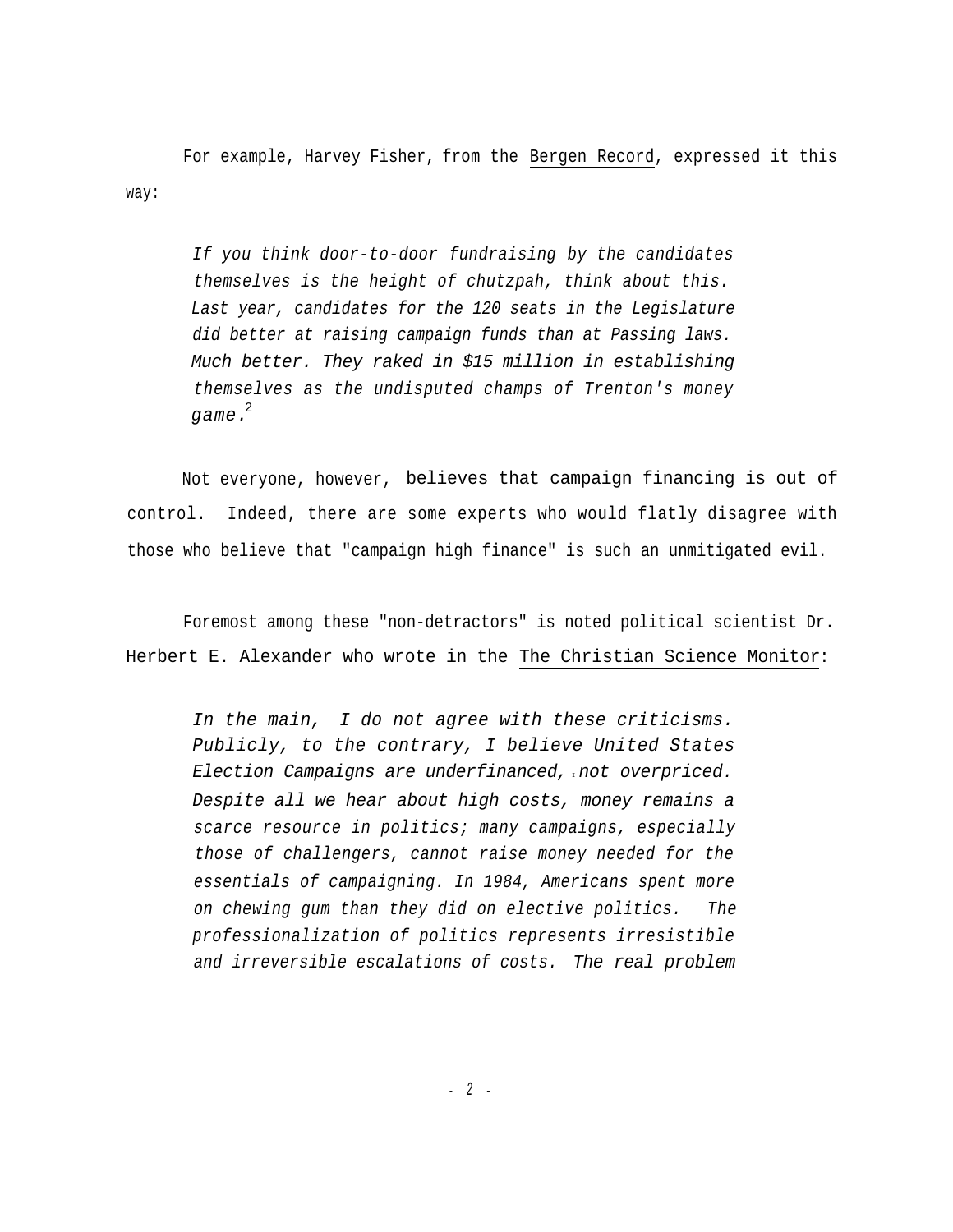For example, Harvey Fisher, from the Bergen Record, expressed it this way:

*If you think door-to-door fundraising by the candidates themselves is the height of chutzpah, think about this. Last year, candidates for the 120 seats in the Legislature did better at raising campaign funds than at Passing laws. Much better. They raked in \$15 million in establishing themselves as the undisputed champs of Trenton's money game.* 2

Not everyone, however, believes that campaign financing is out of control. Indeed, there are some experts who would flatly disagree with those who believe that "campaign high finance" is such an unmitigated evil.

Foremost among these "non-detractors" is noted political scientist Dr. Herbert E. Alexander who wrote in the The Christian Science Monitor:

*In the main, I do not agree with these criticisms. Publicly, to the contrary, I believe United States Election Campaigns are underfinanced,* <sup>I</sup>*not overpriced. Despite all we hear about high costs, money remains a scarce resource in politics; many campaigns, especially those of challengers, cannot raise money needed for the essentials of campaigning. In 1984, Americans spent more on chewing gum than they did on elective politics. The professionalization of politics represents irresistible and irreversible escalations of costs. The real problem*

- *2* -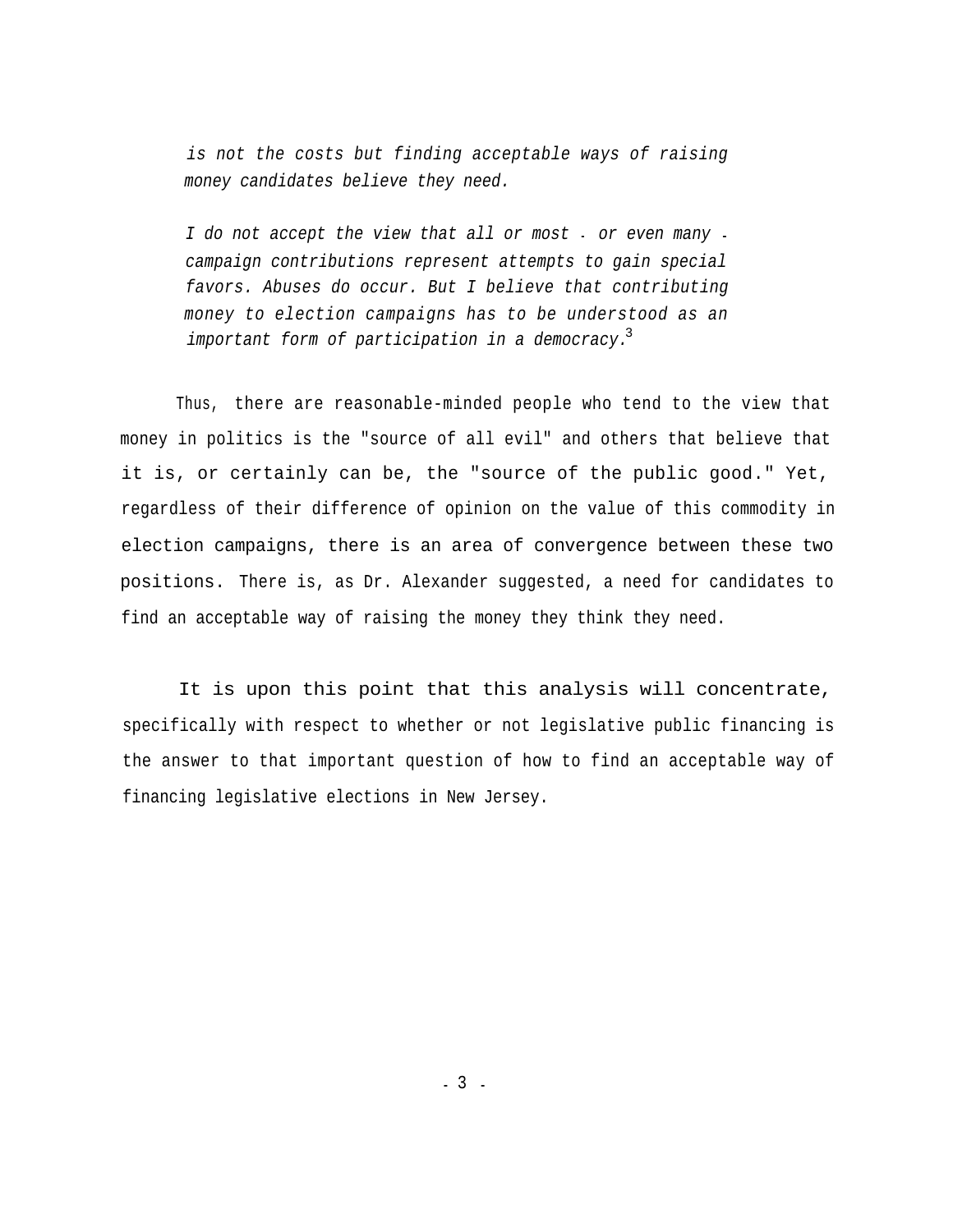*is not the costs but finding acceptable ways of raising money candidates believe they need.*

*I do not accept the view that all or most* - *or even many campaign contributions represent attempts to gain special favors. Abuses do occur. But I believe that contributing money to election campaigns has to be understood as an important form of participation in a democracy.* 3

Thus, there are reasonable-minded people who tend to the view that money in politics is the "source of all evil" and others that believe that it is, or certainly can be, the "source of the public good." Yet, regardless of their difference of opinion on the value of this commodity in election campaigns, there is an area of convergence between these two positions. There is, as Dr. Alexander suggested, a need for candidates to find an acceptable way of raising the money they think they need.

It is upon this point that this analysis will concentrate, specifically with respect to whether or not legislative public financing is the answer to that important question of how to find an acceptable way of financing legislative elections in New Jersey.

- 3 -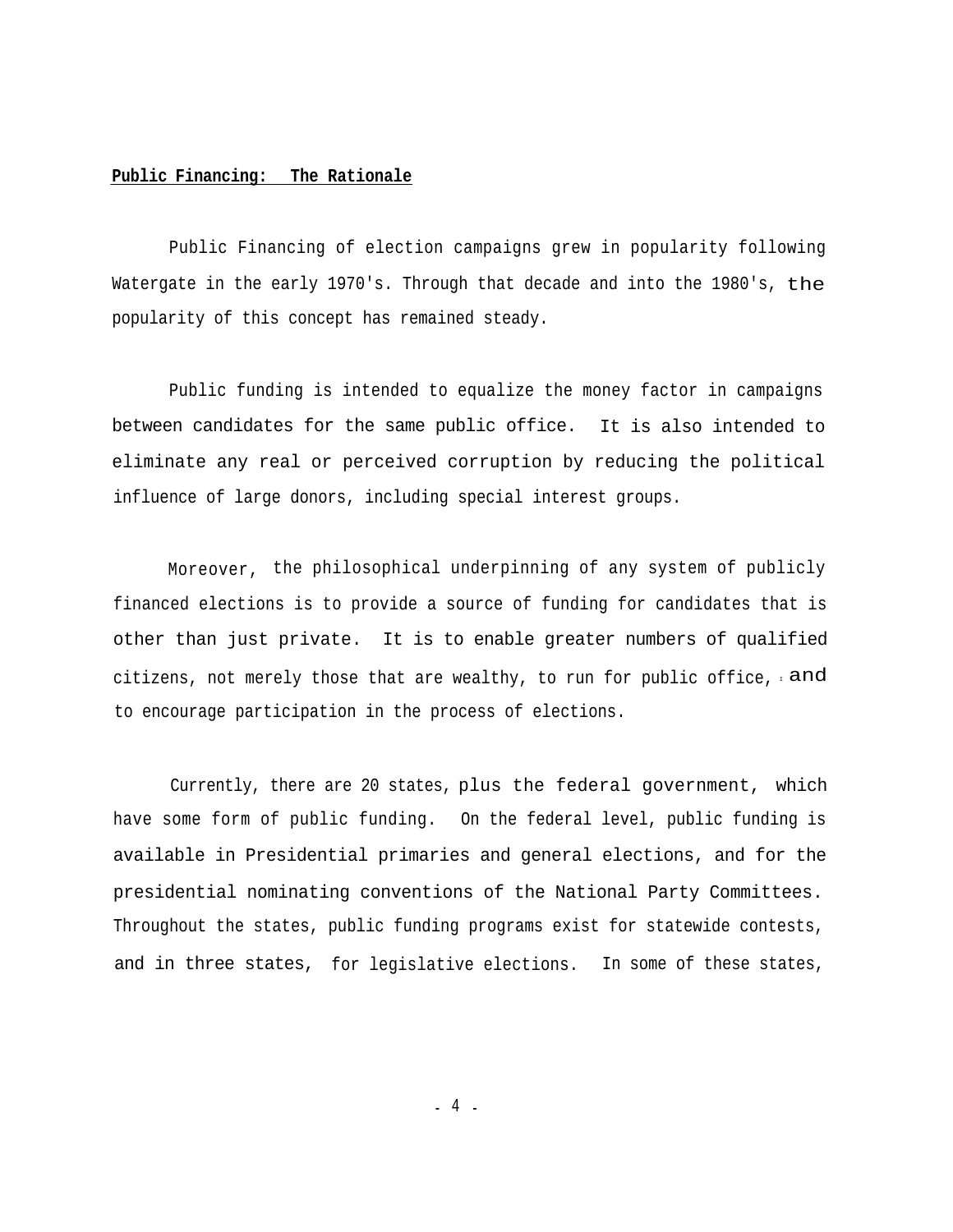#### **Public Financing: The Rationale**

Public Financing of election campaigns grew in popularity following Watergate in the early 1970's. Through that decade and into the 1980's, the popularity of this concept has remained steady.

Public funding is intended to equalize the money factor in campaigns between candidates for the same public office. It is also intended to eliminate any real or perceived corruption by reducing the political influence of large donors, including special interest groups.

Moreover, the philosophical underpinning of any system of publicly financed elections is to provide a source of funding for candidates that is other than just private. It is to enable greater numbers of qualified citizens, not merely those that are wealthy, to run for public office,  $\pm$  and to encourage participation in the process of elections.

Currently, there are 20 states, plus the federal government, which have some form of public funding. On the federal level, public funding is available in Presidential primaries and general elections, and for the presidential nominating conventions of the National Party Committees. Throughout the states, public funding programs exist for statewide contests, and in three states, for legislative elections. In some of these states,

- 4 -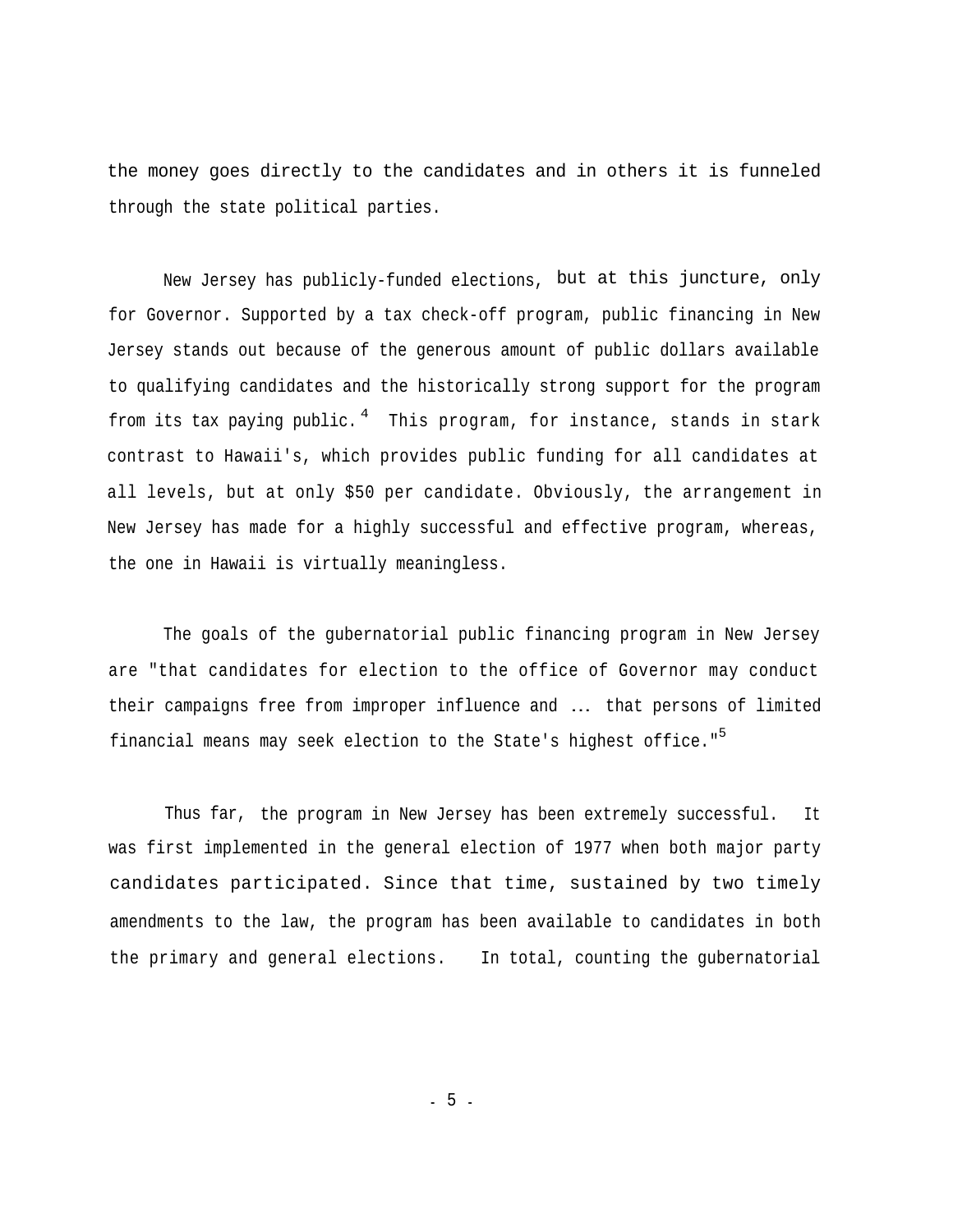the money goes directly to the candidates and in others it is funneled through the state political parties.

New Jersey has publicly-funded elections, but at this juncture, only for Governor. Supported by a tax check-off program, public financing in New Jersey stands out because of the generous amount of public dollars available to qualifying candidates and the historically strong support for the program from its tax paying public.  $^4$  This program, for instance, stands in stark contrast to Hawaii's, which provides public funding for all candidates at all levels, but at only \$50 per candidate. Obviously, the arrangement in New Jersey has made for a highly successful and effective program, whereas, the one in Hawaii is virtually meaningless.

The goals of the gubernatorial public financing program in New Jersey are "that candidates for election to the office of Governor may conduct their campaigns free from improper influence and ... that persons of limited financial means may seek election to the State's highest office." 5

Thus far, the program in New Jersey has been extremely successful. It was first implemented in the general election of 1977 when both major party candidates participated. Since that time, sustained by two timely amendments to the law, the program has been available to candidates in both the primary and general elections. In total, counting the gubernatorial

- 5 -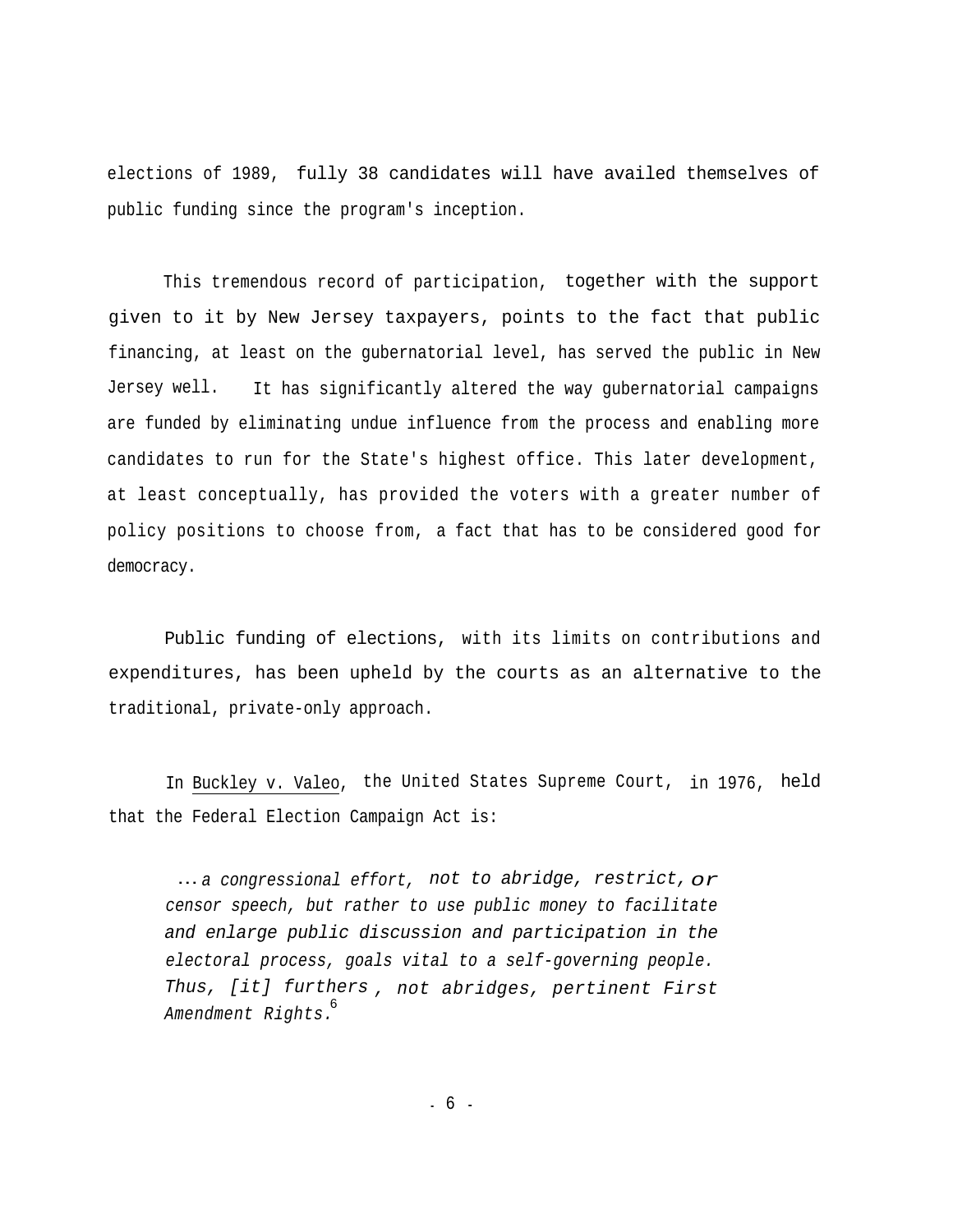elections of 1989, fully 38 candidates will have availed themselves of public funding since the program's inception.

This tremendous record of participation, together with the support given to it by New Jersey taxpayers, points to the fact that public financing, at least on the gubernatorial level, has served the public in New Jersey well. It has significantly altered the way gubernatorial campaigns are funded by eliminating undue influence from the process and enabling more candidates to run for the State's highest office. This later development, at least conceptually, has provided the voters with a greater number of policy positions to choose from, a fact that has to be considered good for democracy.

Public funding of elections, with its limits on contributions and expenditures, has been upheld by the courts as an alternative to the traditional, private-only approach.

In Buckley v. Valeo, the United States Supreme Court, in 1976, held that the Federal Election Campaign Act is:

... *a congressional effort, not to abridge, restrict, or censor speech, but rather to use public money to facilitate and enlarge public discussion and participation in the electoral process, goals vital to a self-governing people. Thus, [it] furthers , not abridges, pertinent First Amendment Rights.* 6

- 6 -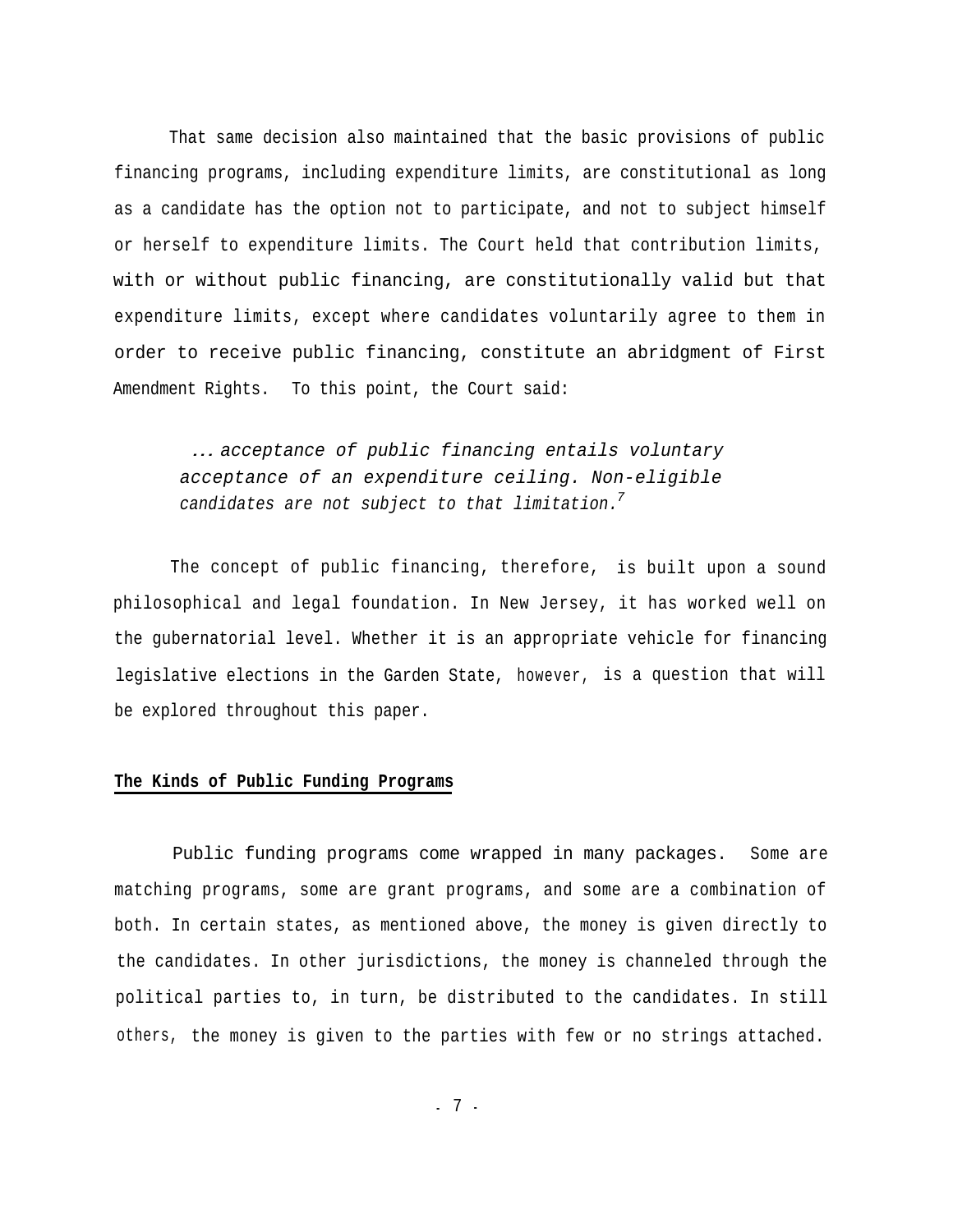That same decision also maintained that the basic provisions of public financing programs, including expenditure limits, are constitutional as long as a candidate has the option not to participate, and not to subject himself or herself to expenditure limits. The Court held that contribution limits, with or without public financing, are constitutionally valid but that expenditure limits, except where candidates voluntarily agree to them in order to receive public financing, constitute an abridgment of First Amendment Rights. To this point, the Court said:

*... acceptance of public financing entails voluntary acceptance of an expenditure ceiling. Non-eligible candidates are not subject to that limitation. 7*

The concept of public financing, therefore, is built upon a sound philosophical and legal foundation. In New Jersey, it has worked well on the gubernatorial level. Whether it is an appropriate vehicle for financing legislative elections in the Garden State, however, is a question that will be explored throughout this paper.

#### **The Kinds of Public Funding Programs**

Public funding programs come wrapped in many packages. Some are matching programs, some are grant programs, and some are a combination of both. In certain states, as mentioned above, the money is given directly to the candidates. In other jurisdictions, the money is channeled through the political parties to, in turn, be distributed to the candidates. In still others, the money is given to the parties with few or no strings attached.

- 7 -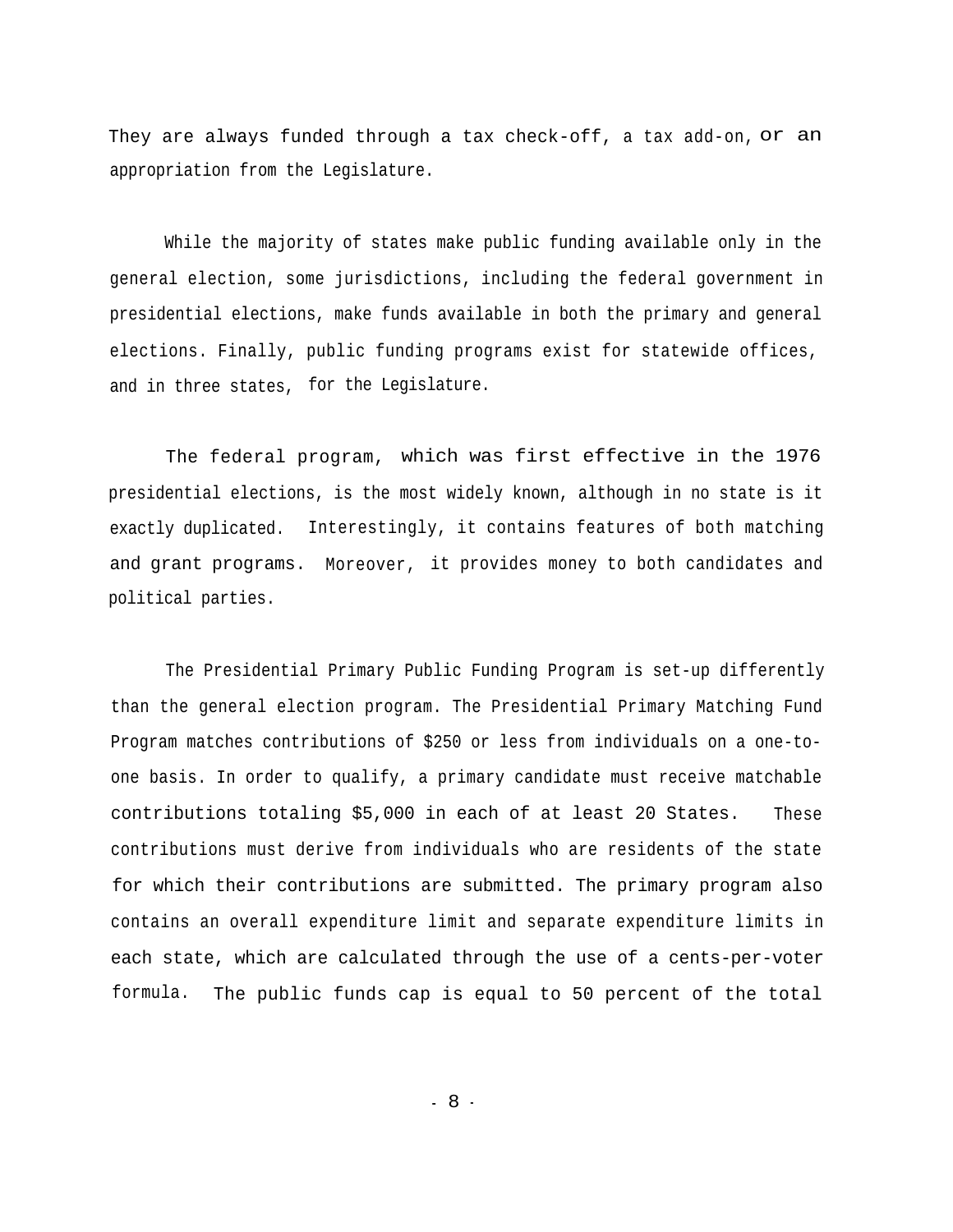They are always funded through a tax check-off, a tax add-on, or an appropriation from the Legislature.

While the majority of states make public funding available only in the general election, some jurisdictions, including the federal government in presidential elections, make funds available in both the primary and general elections. Finally, public funding programs exist for statewide offices, and in three states, for the Legislature.

The federal program, which was first effective in the 1976 presidential elections, is the most widely known, although in no state is it exactly duplicated. Interestingly, it contains features of both matching and grant programs. Moreover, it provides money to both candidates and political parties.

The Presidential Primary Public Funding Program is set-up differently than the general election program. The Presidential Primary Matching Fund Program matches contributions of \$250 or less from individuals on a one-toone basis. In order to qualify, a primary candidate must receive matchable contributions totaling \$5,000 in each of at least 20 States. These contributions must derive from individuals who are residents of the state for which their contributions are submitted. The primary program also contains an overall expenditure limit and separate expenditure limits in each state, which are calculated through the use of a cents-per-voter formula. The public funds cap is equal to 50 percent of the total

- 8 -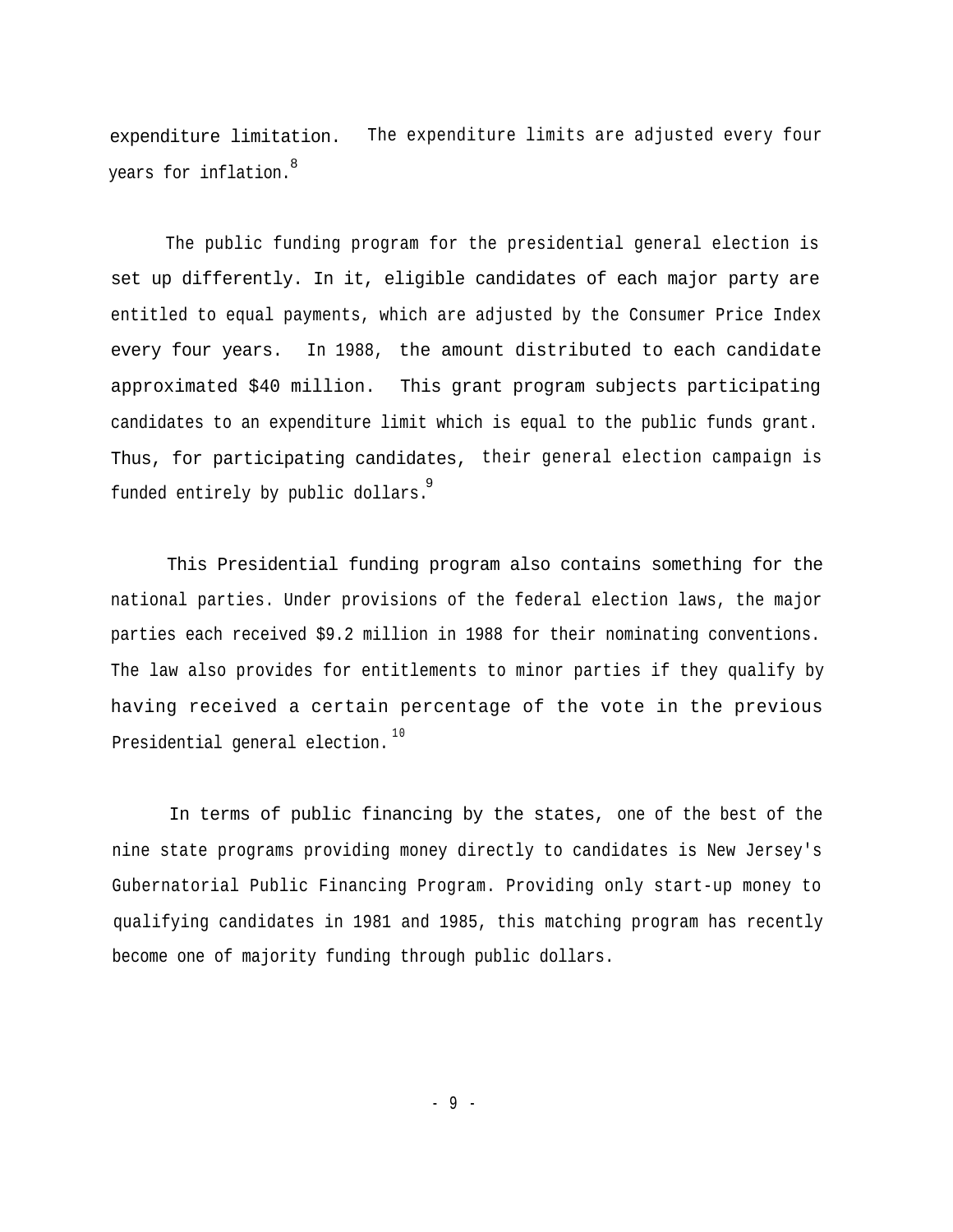expenditure limitation. The expenditure limits are adjusted every four years for inflation. 8

The public funding program for the presidential general election is set up differently. In it, eligible candidates of each major party are entitled to equal payments, which are adjusted by the Consumer Price Index every four years. In 1988, the amount distributed to each candidate approximated \$40 million. This grant program subjects participating candidates to an expenditure limit which is equal to the public funds grant. Thus, for participating candidates, their general election campaign is funded entirely by public dollars. 9

This Presidential funding program also contains something for the national parties. Under provisions of the federal election laws, the major parties each received \$9.2 million in 1988 for their nominating conventions. The law also provides for entitlements to minor parties if they qualify by having received a certain percentage of the vote in the previous Presidential general election.  $10$ 

In terms of public financing by the states, one of the best of the nine state programs providing money directly to candidates is New Jersey's Gubernatorial Public Financing Program. Providing only start-up money to qualifying candidates in 1981 and 1985, this matching program has recently become one of majority funding through public dollars.

- 9 -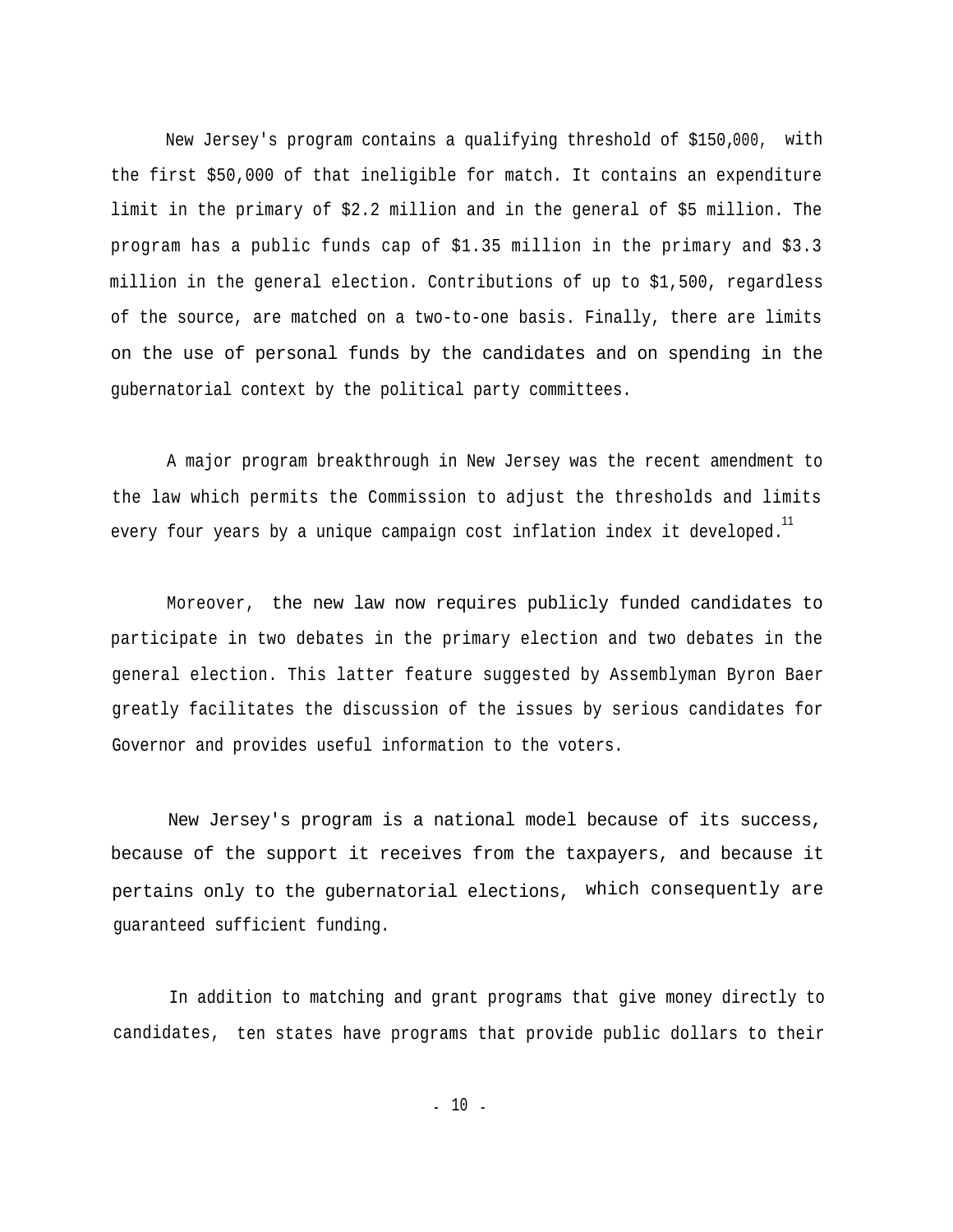New Jersey's program contains a qualifying threshold of \$150,000, with the first \$50,000 of that ineligible for match. It contains an expenditure limit in the primary of \$2.2 million and in the general of \$5 million. The program has a public funds cap of \$1.35 million in the primary and \$3.3 million in the general election. Contributions of up to \$1,500, regardless of the source, are matched on a two-to-one basis. Finally, there are limits on the use of personal funds by the candidates and on spending in the gubernatorial context by the political party committees.

A major program breakthrough in New Jersey was the recent amendment to the law which permits the Commission to adjust the thresholds and limits every four years by a unique campaign cost inflation index it developed. $\overset{11}{\cdot}$ 

Moreover, the new law now requires publicly funded candidates to participate in two debates in the primary election and two debates in the general election. This latter feature suggested by Assemblyman Byron Baer greatly facilitates the discussion of the issues by serious candidates for Governor and provides useful information to the voters.

New Jersey's program is a national model because of its success, because of the support it receives from the taxpayers, and because it pertains only to the gubernatorial elections, which consequently are guaranteed sufficient funding.

In addition to matching and grant programs that give money directly to candidates, ten states have programs that provide public dollars to their

- 10 -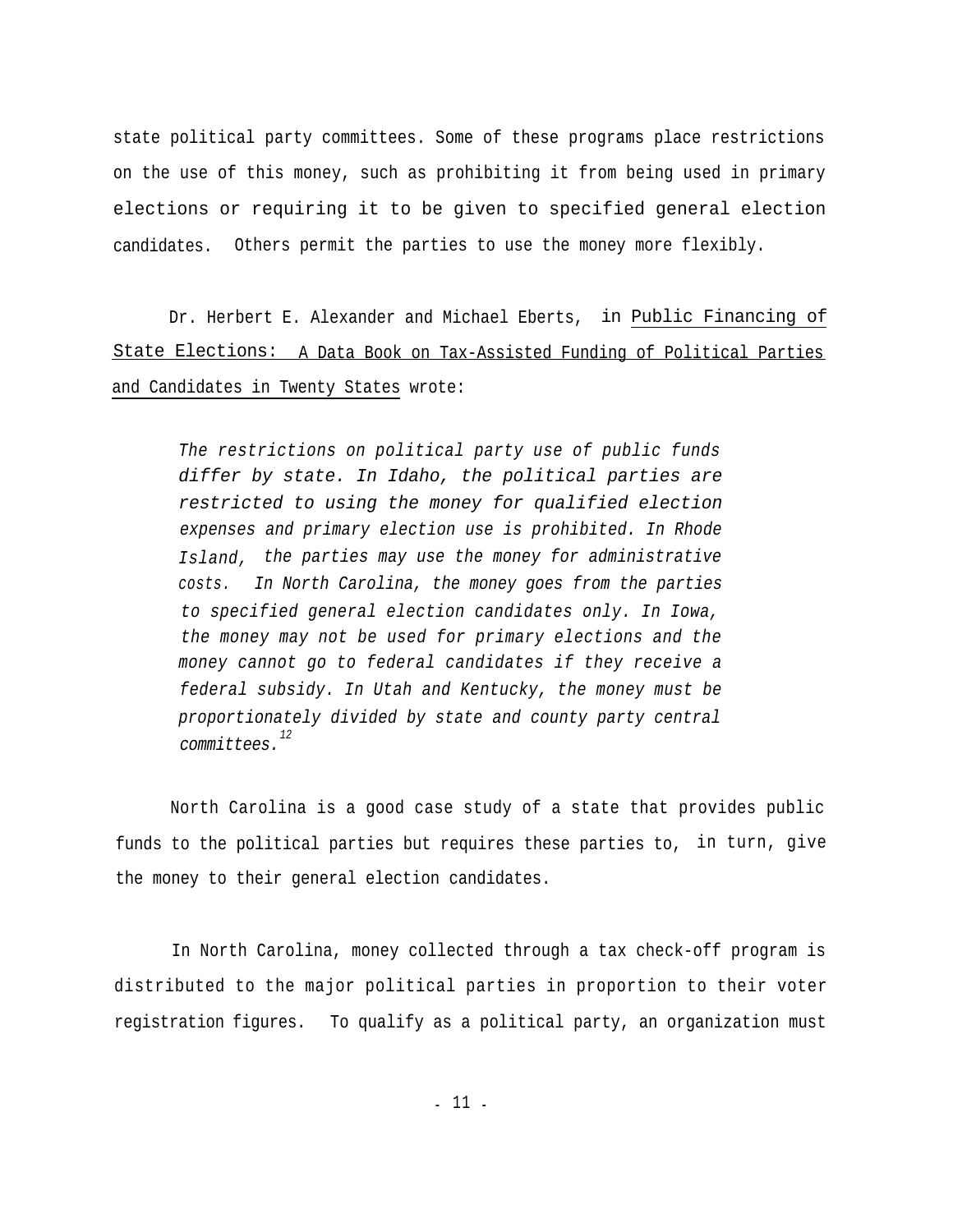state political party committees. Some of these programs place restrictions on the use of this money, such as prohibiting it from being used in primary elections or requiring it to be given to specified general election candidates. Others permit the parties to use the money more flexibly.

Dr. Herbert E. Alexander and Michael Eberts, in Public Financing of State Elections: A Data Book on Tax-Assisted Funding of Political Parties and Candidates in Twenty States wrote:

*The restrictions on political party use of public funds differ by state. In Idaho, the political parties are restricted to using the money for qualified election expenses and primary election use is prohibited. In Rhode Island, the parties may use the money for administrative costs. In North Carolina, the money goes from the parties to specified general election candidates only. In Iowa, the money may not be used for primary elections and the money cannot go to federal candidates if they receive a federal subsidy. In Utah and Kentucky, the money must be proportionately divided by state and county party central <sup>12</sup> committees.*

North Carolina is a good case study of a state that provides public funds to the political parties but requires these parties to, in turn, give the money to their general election candidates.

In North Carolina, money collected through a tax check-off program is distributed to the major political parties in proportion to their voter registration figures. To qualify as a political party, an organization must

- 11 -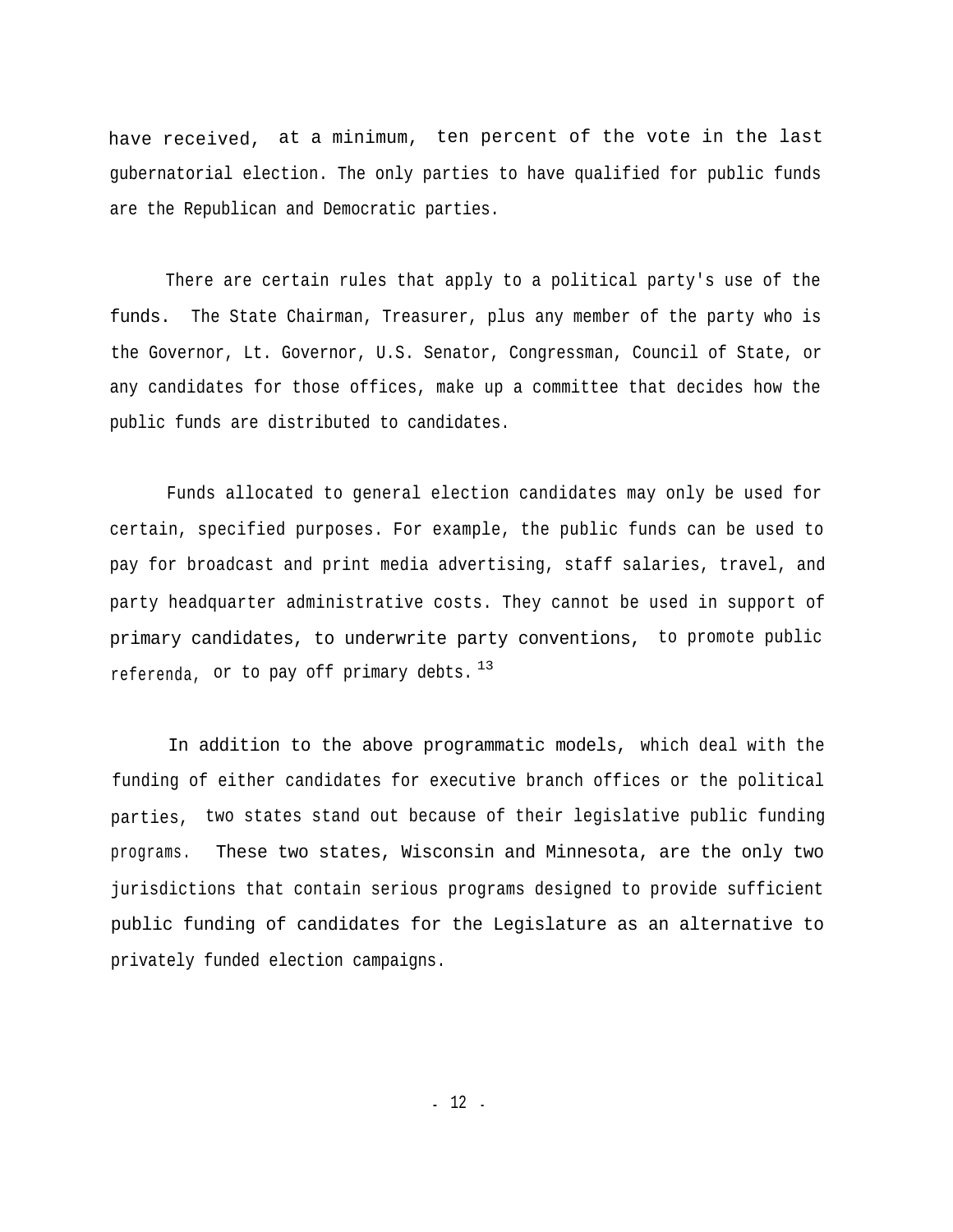have received, at a minimum, ten percent of the vote in the last gubernatorial election. The only parties to have qualified for public funds are the Republican and Democratic parties.

There are certain rules that apply to a political party's use of the funds. The State Chairman, Treasurer, plus any member of the party who is the Governor, Lt. Governor, U.S. Senator, Congressman, Council of State, or any candidates for those offices, make up a committee that decides how the public funds are distributed to candidates.

Funds allocated to general election candidates may only be used for certain, specified purposes. For example, the public funds can be used to pay for broadcast and print media advertising, staff salaries, travel, and party headquarter administrative costs. They cannot be used in support of primary candidates, to underwrite party conventions, to promote public referenda, or to pay off primary debts.  $^{13}$ 

In addition to the above programmatic models, which deal with the funding of either candidates for executive branch offices or the political parties, two states stand out because of their legislative public funding programs. These two states, Wisconsin and Minnesota, are the only two jurisdictions that contain serious programs designed to provide sufficient public funding of candidates for the Legislature as an alternative to privately funded election campaigns.

- 12 -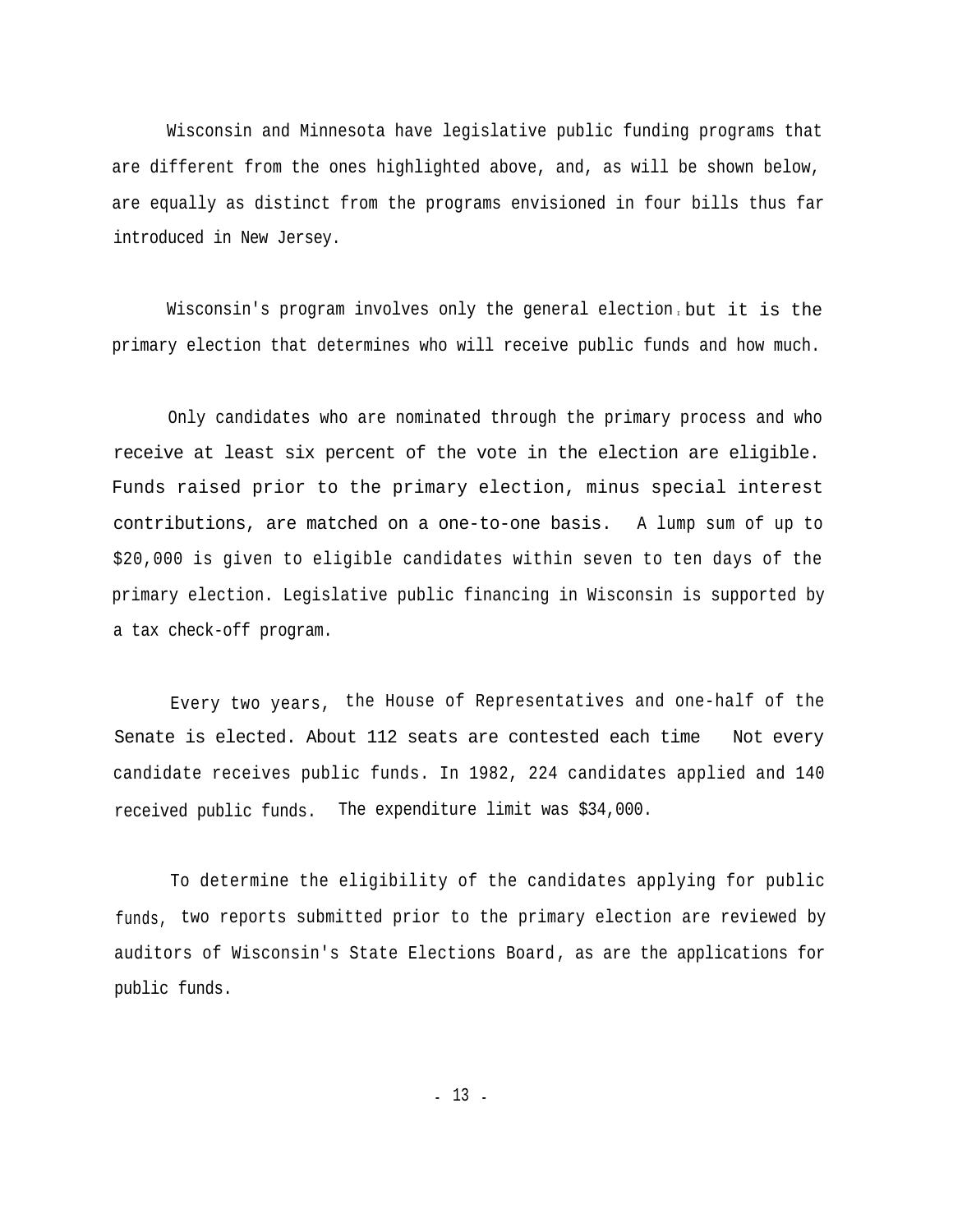Wisconsin and Minnesota have legislative public funding programs that are different from the ones highlighted above, and, as will be shown below, are equally as distinct from the programs envisioned in four bills thus far introduced in New Jersey.

Wisconsin's program involves only the general election but it is the primary election that determines who will receive public funds and how much.

Only candidates who are nominated through the primary process and who receive at least six percent of the vote in the election are eligible. Funds raised prior to the primary election, minus special interest contributions, are matched on a one-to-one basis. A lump sum of up to \$20,000 is given to eligible candidates within seven to ten days of the primary election. Legislative public financing in Wisconsin is supported by a tax check-off program.

Every two years, the House of Representatives and one-half of the Senate is elected. About 112 seats are contested each time Not every candidate receives public funds. In 1982, 224 candidates applied and 140 received public funds. The expenditure limit was \$34,000.

To determine the eligibility of the candidates applying for public funds, two reports submitted prior to the primary election are reviewed by auditors of Wisconsin's State Elections Board , as are the applications for public funds.

- 13 -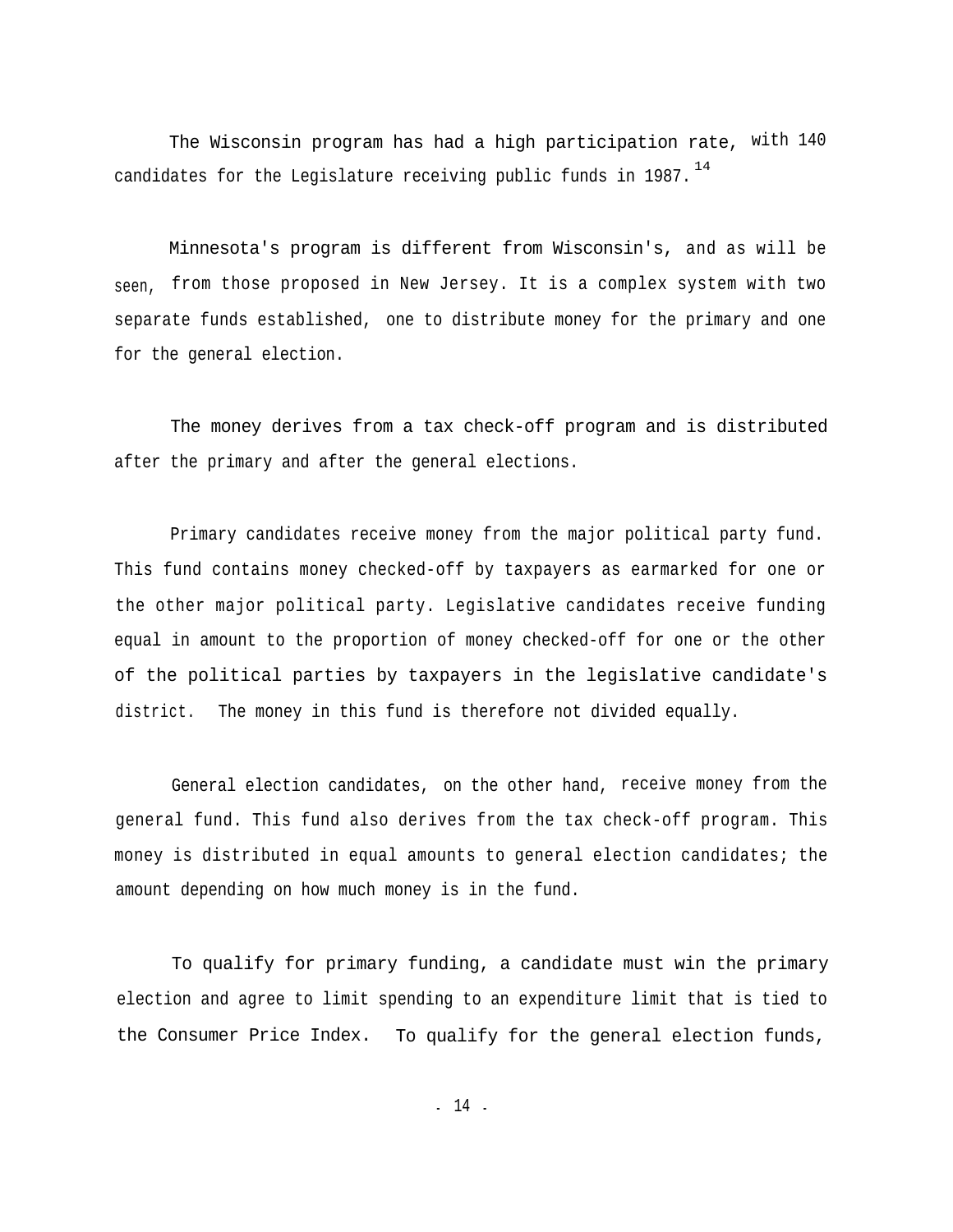The Wisconsin program has had a high participation rate, with 140 candidates for the Legislature receiving public funds in 1987.  $^{14}$ 

Minnesota's program is different from Wisconsin's, and as will be seen, from those proposed in New Jersey. It is a complex system with two separate funds established, one to distribute money for the primary and one for the general election.

The money derives from a tax check-off program and is distributed after the primary and after the general elections.

Primary candidates receive money from the major political party fund. This fund contains money checked-off by taxpayers as earmarked for one or the other major political party. Legislative candidates receive funding equal in amount to the proportion of money checked-off for one or the other of the political parties by taxpayers in the legislative candidate's district. The money in this fund is therefore not divided equally.

General election candidates, on the other hand, receive money from the general fund. This fund also derives from the tax check-off program. This money is distributed in equal amounts to general election candidates; the amount depending on how much money is in the fund.

To qualify for primary funding, a candidate must win the primary election and agree to limit spending to an expenditure limit that is tied to the Consumer Price Index. To qualify for the general election funds,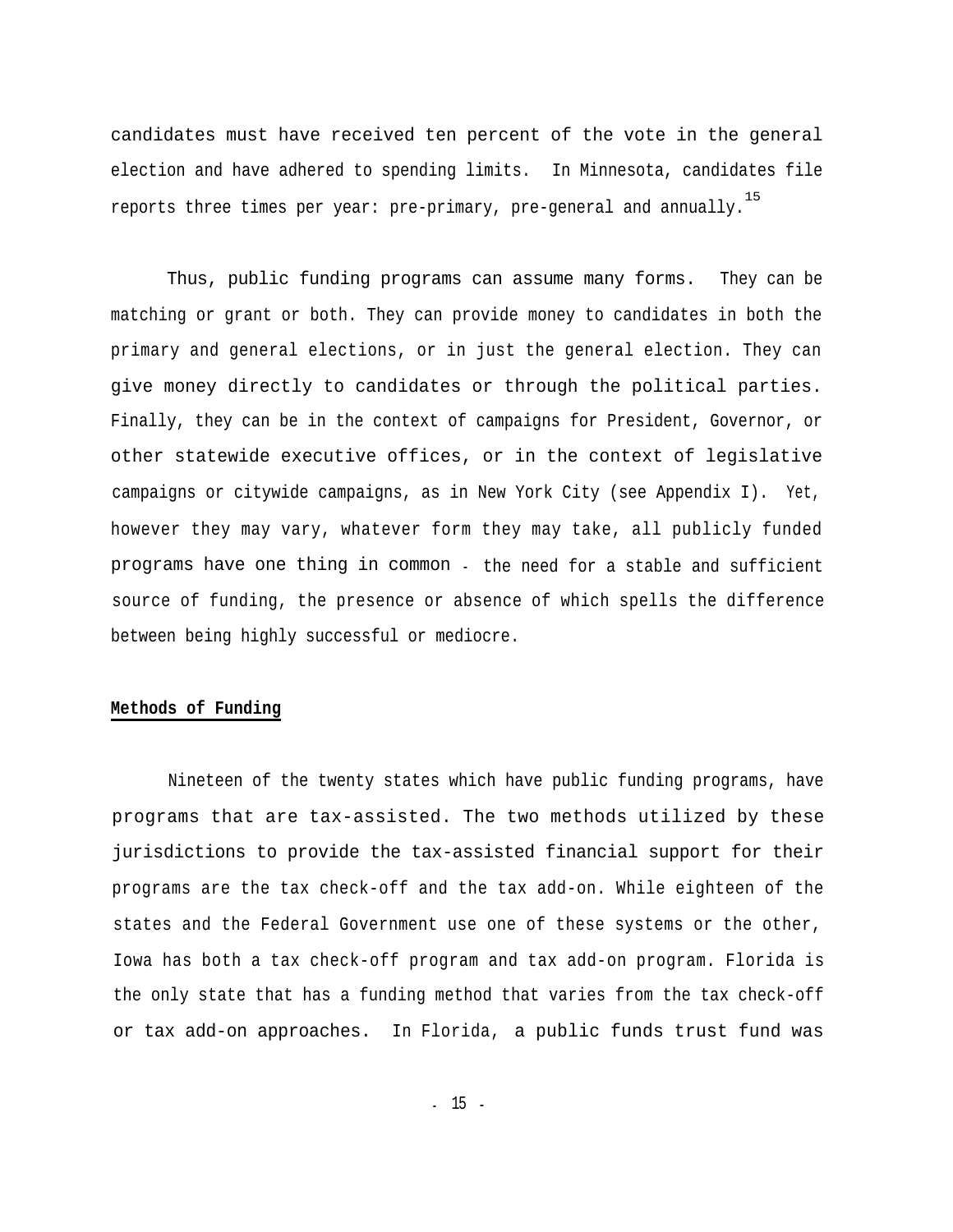candidates must have received ten percent of the vote in the general election and have adhered to spending limits. In Minnesota, candidates file 15 reports three times per year: pre-primary, pre-general and annually.

Thus, public funding programs can assume many forms. They can be matching or grant or both. They can provide money to candidates in both the primary and general elections, or in just the general election. They can give money directly to candidates or through the political parties. Finally, they can be in the context of campaigns for President, Governor, or other statewide executive offices, or in the context of legislative campaigns or citywide campaigns, as in New York City (see Appendix I). Yet, however they may vary, whatever form they may take, all publicly funded programs have one thing in common - the need for a stable and sufficient source of funding, the presence or absence of which spells the difference between being highly successful or mediocre.

#### **Methods of Funding**

Nineteen of the twenty states which have public funding programs, have programs that are tax-assisted. The two methods utilized by these jurisdictions to provide the tax-assisted financial support for their programs are the tax check-off and the tax add-on. While eighteen of the states and the Federal Government use one of these systems or the other, Iowa has both a tax check-off program and tax add-on program. Florida is the only state that has a funding method that varies from the tax check-off or tax add-on approaches. In Florida, a public funds trust fund was

- 15 -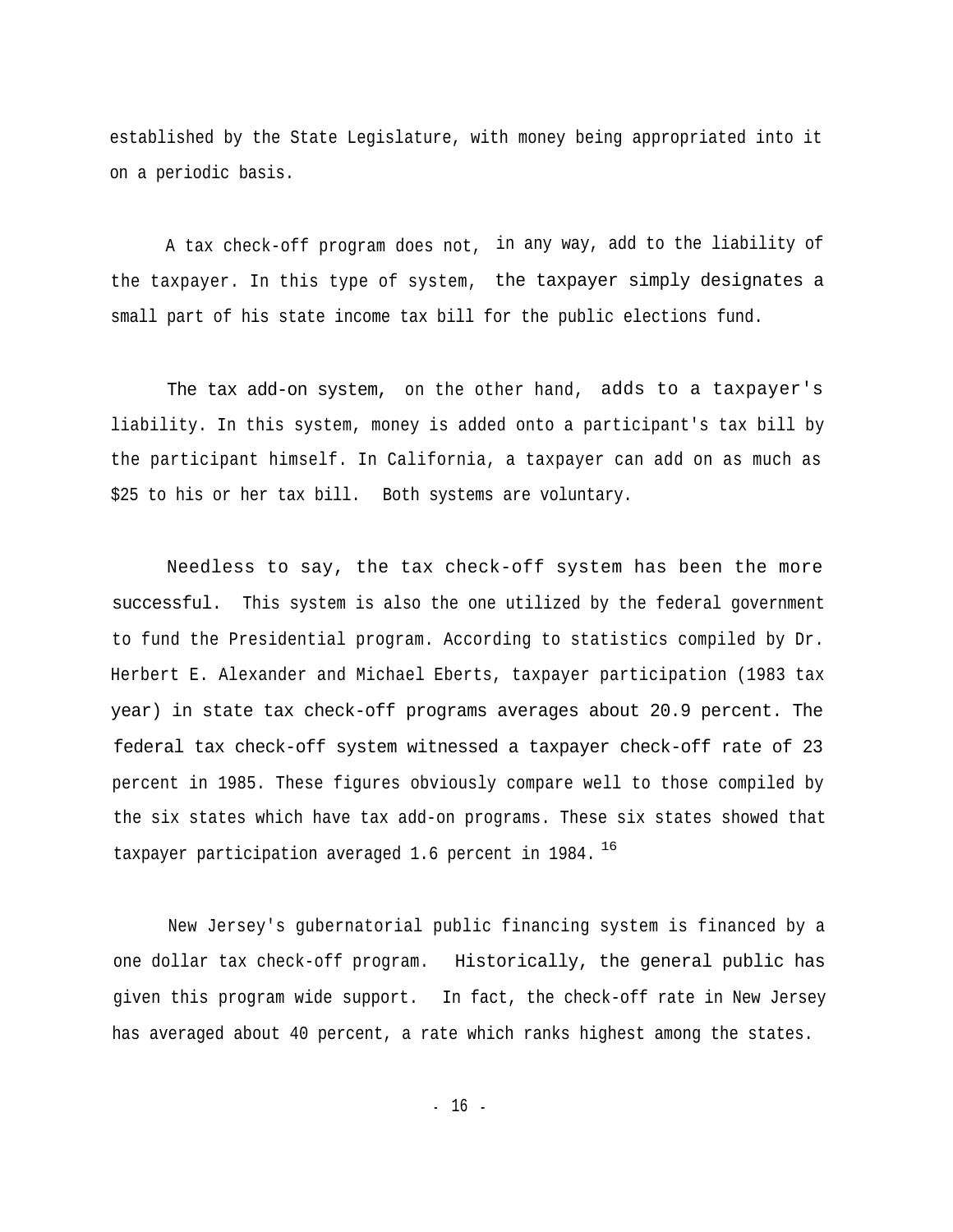established by the State Legislature, with money being appropriated into it on a periodic basis.

A tax check-off program does not, in any way, add to the liability of the taxpayer. In this type of system, the taxpayer simply designates a small part of his state income tax bill for the public elections fund.

The tax add-on system, on the other hand, adds to a taxpayer's liability. In this system, money is added onto a participant's tax bill by the participant himself. In California, a taxpayer can add on as much as \$25 to his or her tax bill. Both systems are voluntary.

Needless to say, the tax check-off system has been the more successful. This system is also the one utilized by the federal government to fund the Presidential program. According to statistics compiled by Dr. Herbert E. Alexander and Michael Eberts, taxpayer participation (1983 tax year) in state tax check-off programs averages about 20.9 percent. The federal tax check-off system witnessed a taxpayer check-off rate of 23 percent in 1985. These figures obviously compare well to those compiled by the six states which have tax add-on programs. These six states showed that taxpayer participation averaged 1.6 percent in 1984.  $^{16}$ 

New Jersey's gubernatorial public financing system is financed by a one dollar tax check-off program. Historically, the general public has given this program wide support. In fact, the check-off rate in New Jersey has averaged about 40 percent, a rate which ranks highest among the states.

- 16 -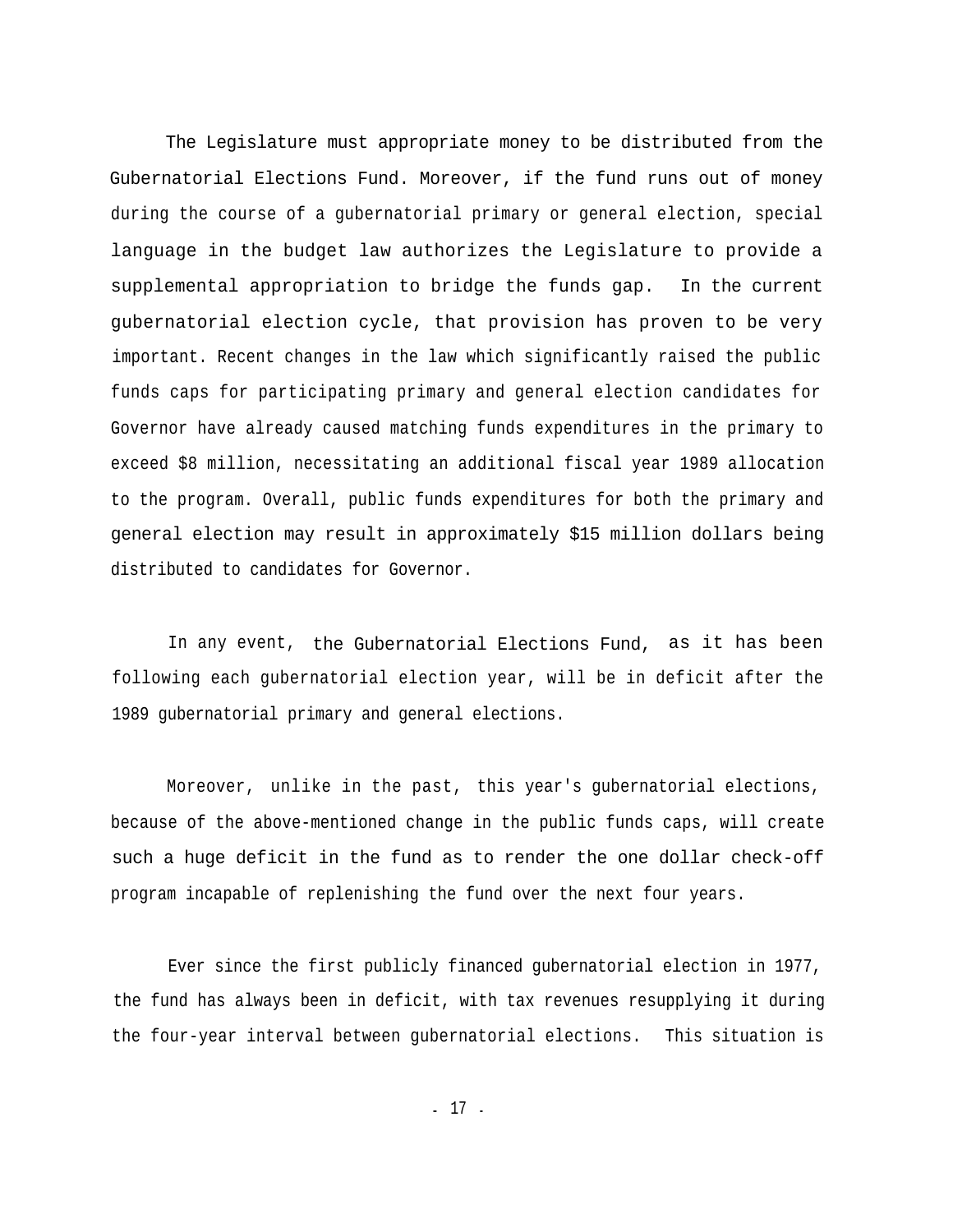The Legislature must appropriate money to be distributed from the Gubernatorial Elections Fund. Moreover, if the fund runs out of money during the course of a gubernatorial primary or general election, special language in the budget law authorizes the Legislature to provide a supplemental appropriation to bridge the funds gap. In the current gubernatorial election cycle, that provision has proven to be very important. Recent changes in the law which significantly raised the public funds caps for participating primary and general election candidates for Governor have already caused matching funds expenditures in the primary to exceed \$8 million, necessitating an additional fiscal year 1989 allocation to the program. Overall, public funds expenditures for both the primary and general election may result in approximately \$15 million dollars being distributed to candidates for Governor.

In any event, the Gubernatorial Elections Fund, as it has been following each gubernatorial election year, will be in deficit after the 1989 gubernatorial primary and general elections.

Moreover, unlike in the past, this year's gubernatorial elections, because of the above-mentioned change in the public funds caps, will create such a huge deficit in the fund as to render the one dollar check-off program incapable of replenishing the fund over the next four years.

Ever since the first publicly financed gubernatorial election in 1977, the fund has always been in deficit, with tax revenues resupplying it during the four-year interval between gubernatorial elections. This situation is

- 17 -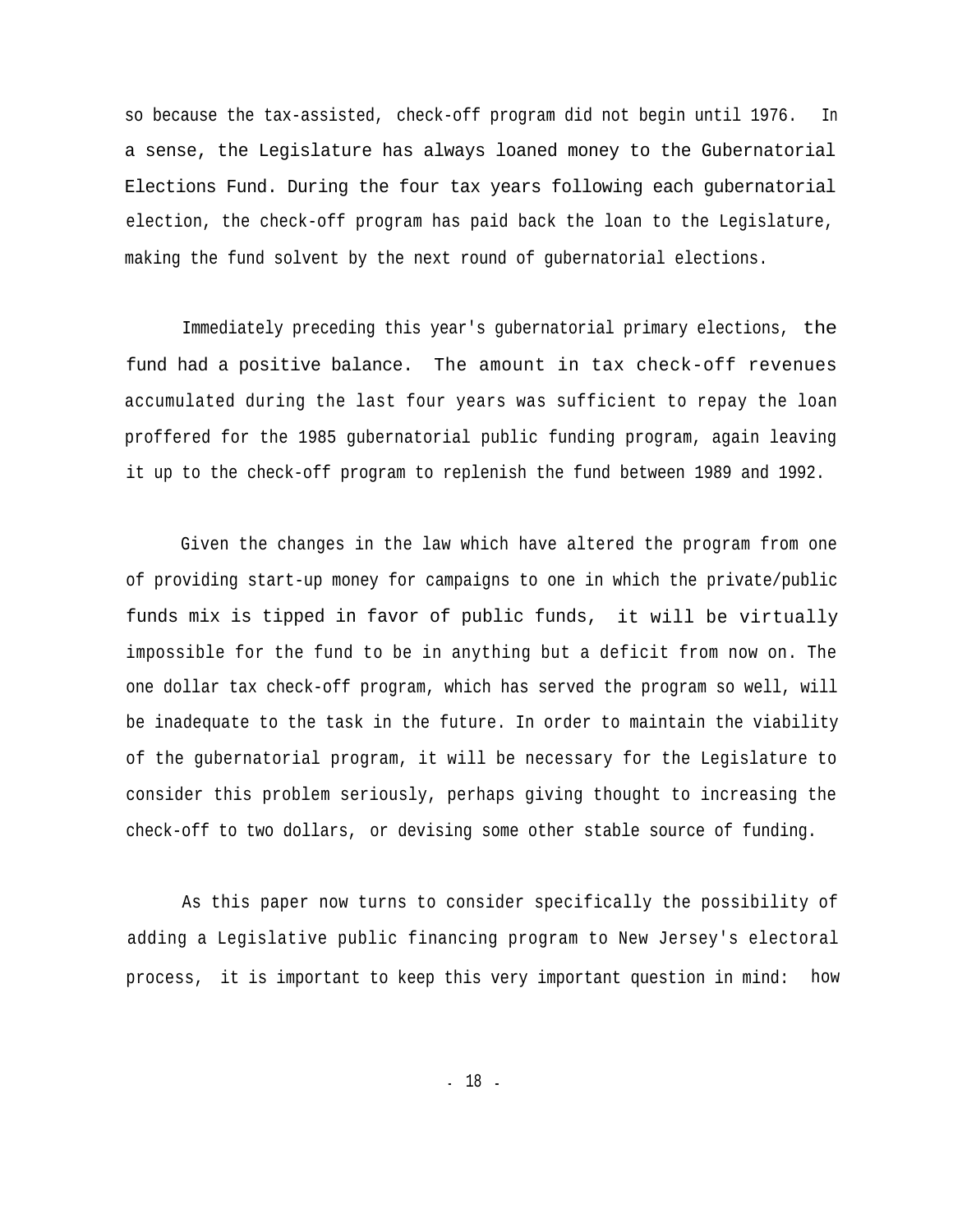so because the tax-assisted, check-off program did not begin until 1976. In a sense, the Legislature has always loaned money to the Gubernatorial Elections Fund. During the four tax years following each gubernatorial election, the check-off program has paid back the loan to the Legislature, making the fund solvent by the next round of gubernatorial elections.

Immediately preceding this year's gubernatorial primary elections, the fund had a positive balance. The amount in tax check-off revenues accumulated during the last four years was sufficient to repay the loan proffered for the 1985 gubernatorial public funding program, again leaving it up to the check-off program to replenish the fund between 1989 and 1992.

Given the changes in the law which have altered the program from one of providing start-up money for campaigns to one in which the private/public funds mix is tipped in favor of public funds, it will be virtually impossible for the fund to be in anything but a deficit from now on. The one dollar tax check-off program, which has served the program so well, will be inadequate to the task in the future. In order to maintain the viability of the gubernatorial program, it will be necessary for the Legislature to consider this problem seriously, perhaps giving thought to increasing the check-off to two dollars, or devising some other stable source of funding.

As this paper now turns to consider specifically the possibility of adding a Legislative public financing program to New Jersey's electoral process, it is important to keep this very important question in mind: how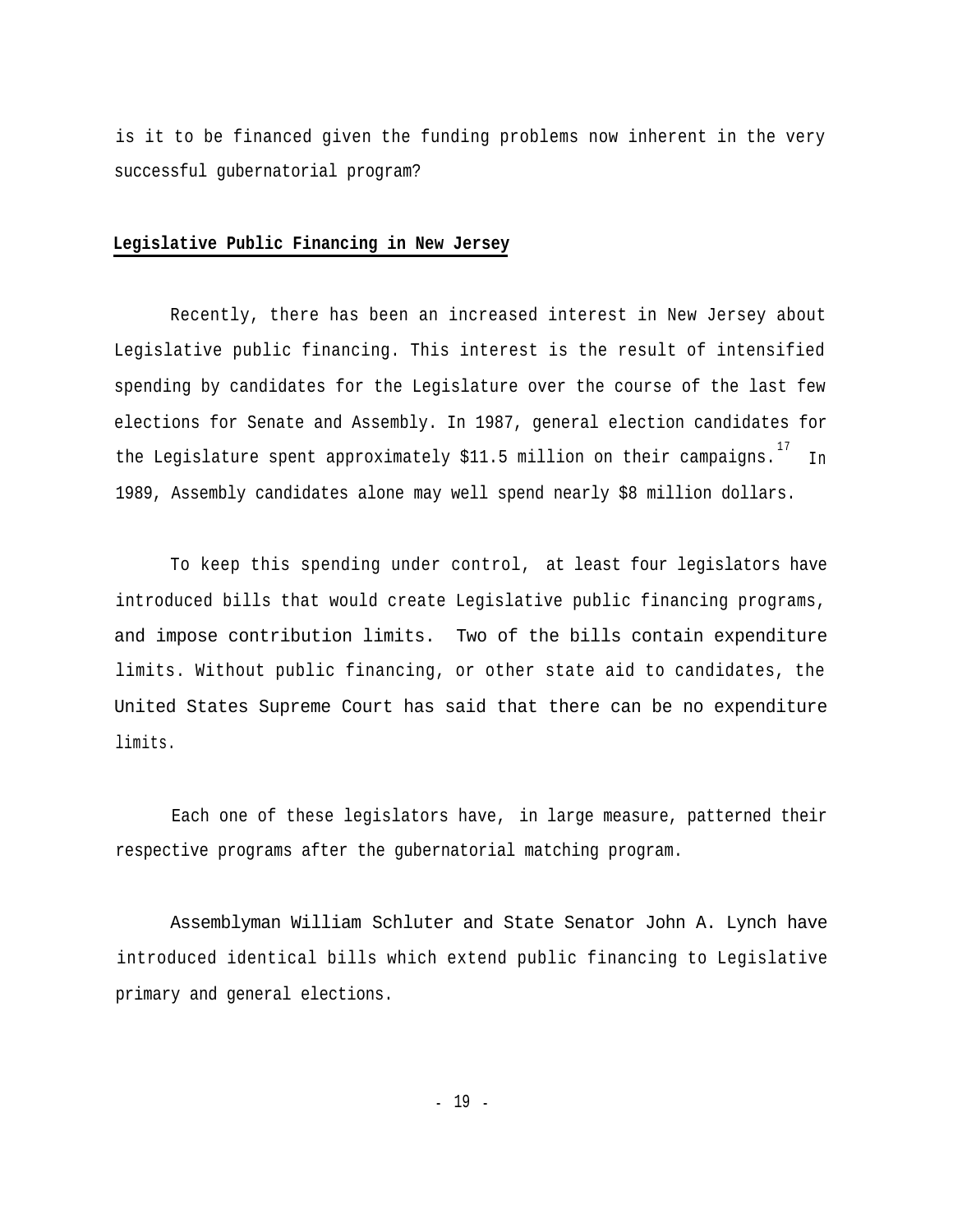is it to be financed given the funding problems now inherent in the very successful gubernatorial program?

#### **Legislative Public Financing in New Jersey**

Recently, there has been an increased interest in New Jersey about Legislative public financing. This interest is the result of intensified spending by candidates for the Legislature over the course of the last few elections for Senate and Assembly. In 1987, general election candidates for the Legislature spent approximately \$11.5 million on their campaigns.  $^{\rm 17}$  In 1989, Assembly candidates alone may well spend nearly \$8 million dollars.

To keep this spending under control, at least four legislators have introduced bills that would create Legislative public financing programs, and impose contribution limits. Two of the bills contain expenditure limits. Without public financing, or other state aid to candidates, the United States Supreme Court has said that there can be no expenditure limits.

Each one of these legislators have, in large measure, patterned their respective programs after the gubernatorial matching program.

Assemblyman William Schluter and State Senator John A. Lynch have introduced identical bills which extend public financing to Legislative primary and general elections.

- 19 -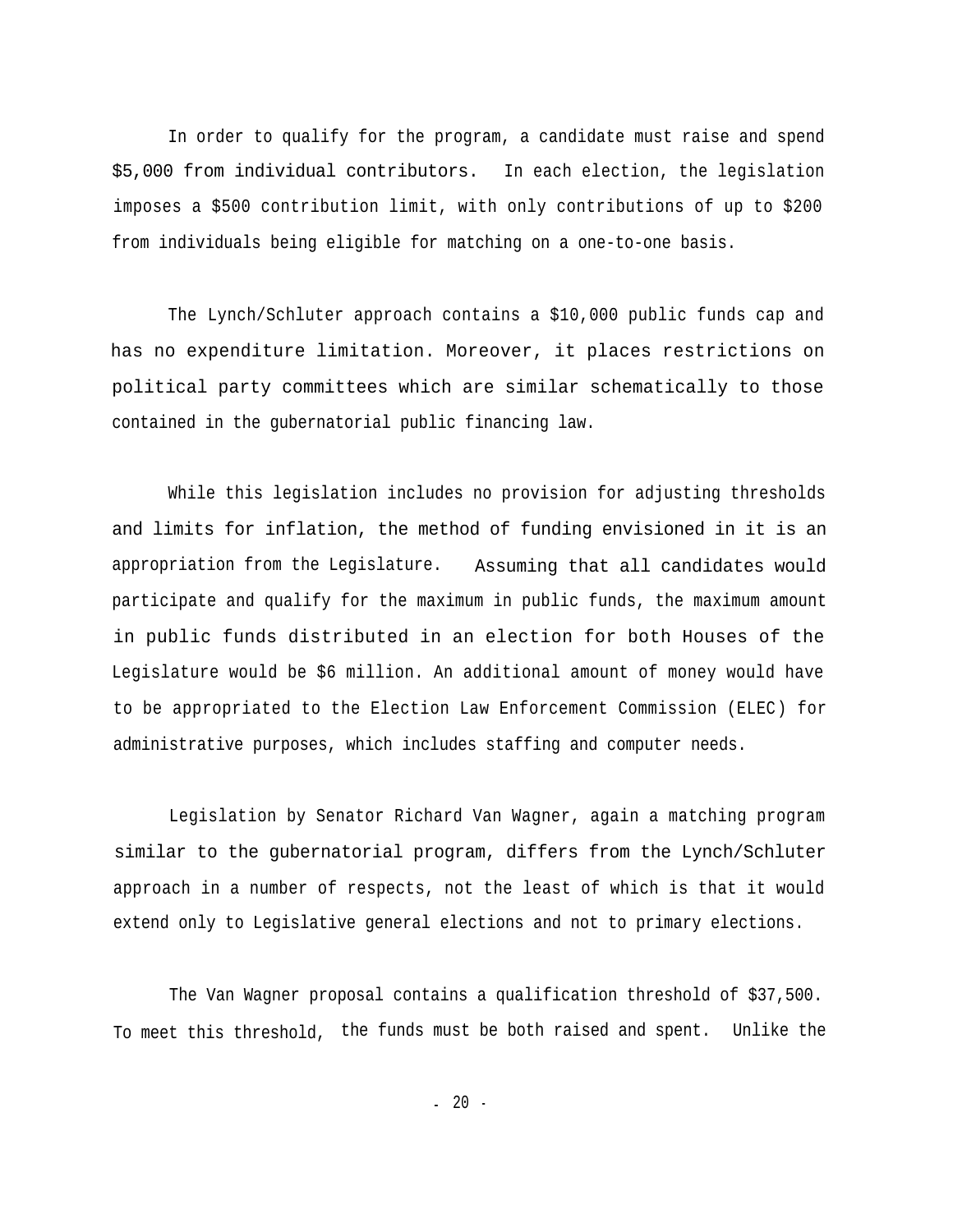In order to qualify for the program, a candidate must raise and spend \$5,000 from individual contributors. In each election, the legislation imposes a \$500 contribution limit, with only contributions of up to \$200 from individuals being eligible for matching on a one-to-one basis.

The Lynch/Schluter approach contains a \$10,000 public funds cap and has no expenditure limitation. Moreover, it places restrictions on political party committees which are similar schematically to those contained in the gubernatorial public financing law.

While this legislation includes no provision for adjusting thresholds and limits for inflation, the method of funding envisioned in it is an appropriation from the Legislature. Assuming that all candidates would participate and qualify for the maximum in public funds, the maximum amount in public funds distributed in an election for both Houses of the Legislature would be \$6 million. An additional amount of money would have to be appropriated to the Election Law Enforcement Commission (ELEC) for administrative purposes, which includes staffing and computer needs.

Legislation by Senator Richard Van Wagner, again a matching program similar to the gubernatorial program, differs from the Lynch/Schluter approach in a number of respects, not the least of which is that it would extend only to Legislative general elections and not to primary elections.

The Van Wagner proposal contains a qualification threshold of \$37,500. To meet this threshold, the funds must be both raised and spent. Unlike the

- 20 -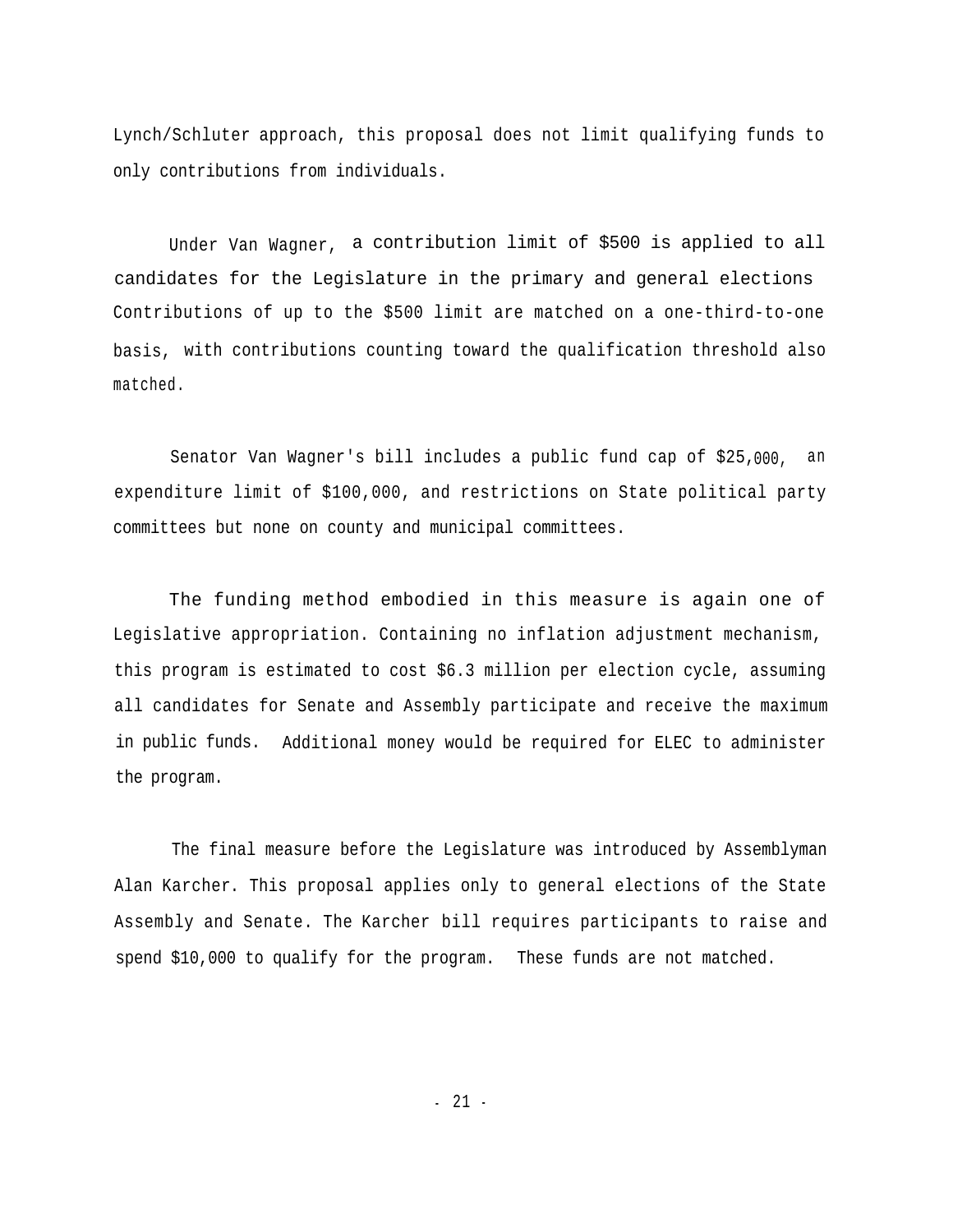Lynch/Schluter approach, this proposal does not limit qualifying funds to only contributions from individuals.

Under Van Wagner, a contribution limit of \$500 is applied to all candidates for the Legislature in the primary and general elections Contributions of up to the \$500 limit are matched on a one-third-to-one basis, with contributions counting toward the qualification threshold also matched.

Senator Van Wagner's bill includes a public fund cap of \$25,000, an expenditure limit of \$100,000, and restrictions on State political party committees but none on county and municipal committees.

The funding method embodied in this measure is again one of Legislative appropriation. Containing no inflation adjustment mechanism, this program is estimated to cost \$6.3 million per election cycle, assuming all candidates for Senate and Assembly participate and receive the maximum in public funds. Additional money would be required for ELEC to administer the program.

The final measure before the Legislature was introduced by Assemblyman Alan Karcher. This proposal applies only to general elections of the State Assembly and Senate. The Karcher bill requires participants to raise and spend \$10,000 to qualify for the program. These funds are not matched.

- 21 -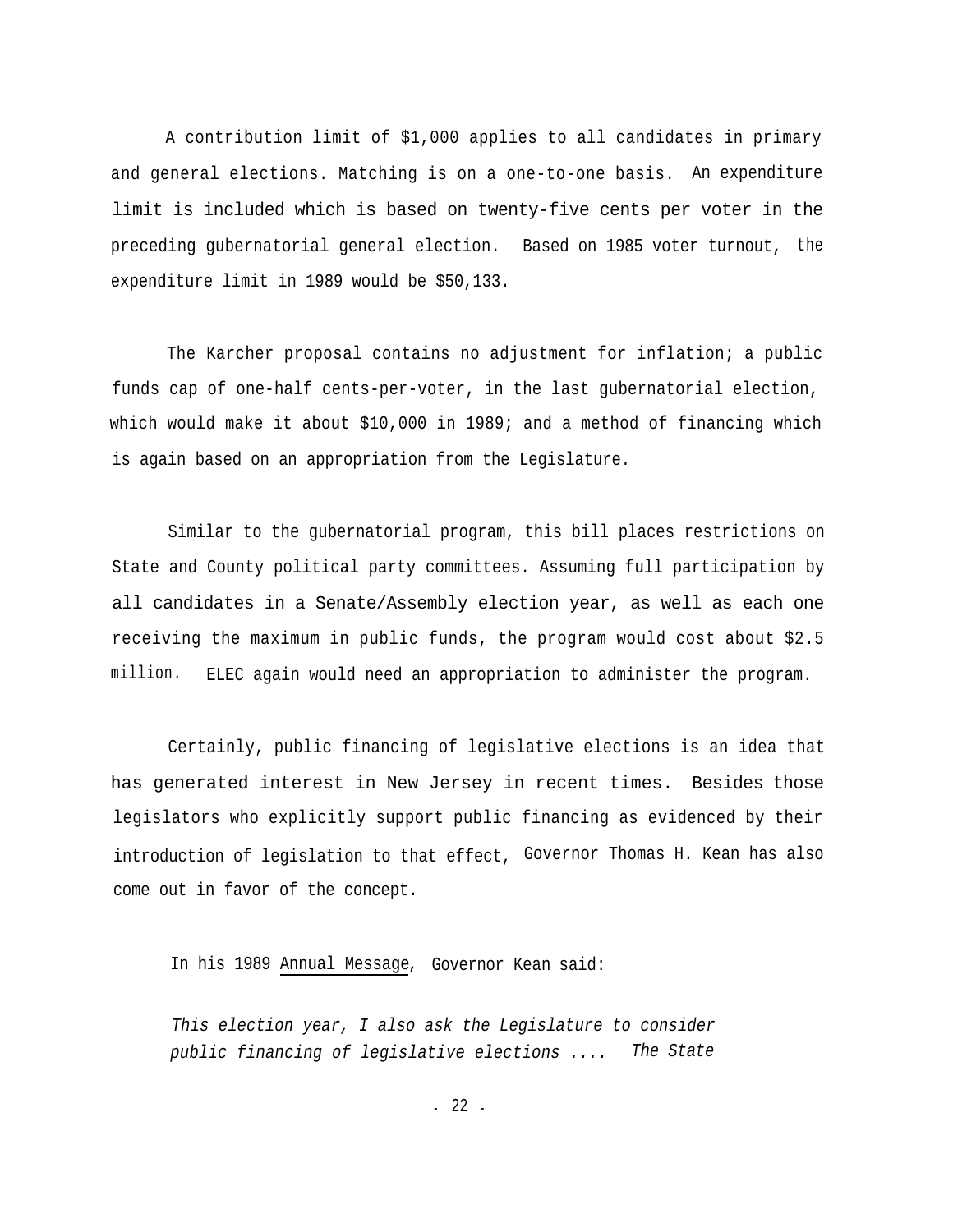A contribution limit of \$1,000 applies to all candidates in primary and general elections. Matching is on a one-to-one basis. An expenditure limit is included which is based on twenty-five cents per voter in the preceding gubernatorial general election. Based on 1985 voter turnout, the expenditure limit in 1989 would be \$50,133.

The Karcher proposal contains no adjustment for inflation; a public funds cap of one-half cents-per-voter, in the last gubernatorial election, which would make it about \$10,000 in 1989; and a method of financing which is again based on an appropriation from the Legislature.

Similar to the gubernatorial program, this bill places restrictions on State and County political party committees. Assuming full participation by all candidates in a Senate/Assembly election year, as well as each one receiving the maximum in public funds, the program would cost about \$2.5 million. ELEC again would need an appropriation to administer the program.

Certainly, public financing of legislative elections is an idea that has generated interest in New Jersey in recent times. Besides those legislators who explicitly support public financing as evidenced by their introduction of legislation to that effect, Governor Thomas H. Kean has also come out in favor of the concept.

In his 1989 Annual Message, Governor Kean said:

*This election year, I also ask the Legislature to consider public financing of legislative elections .... The State*

- 22 -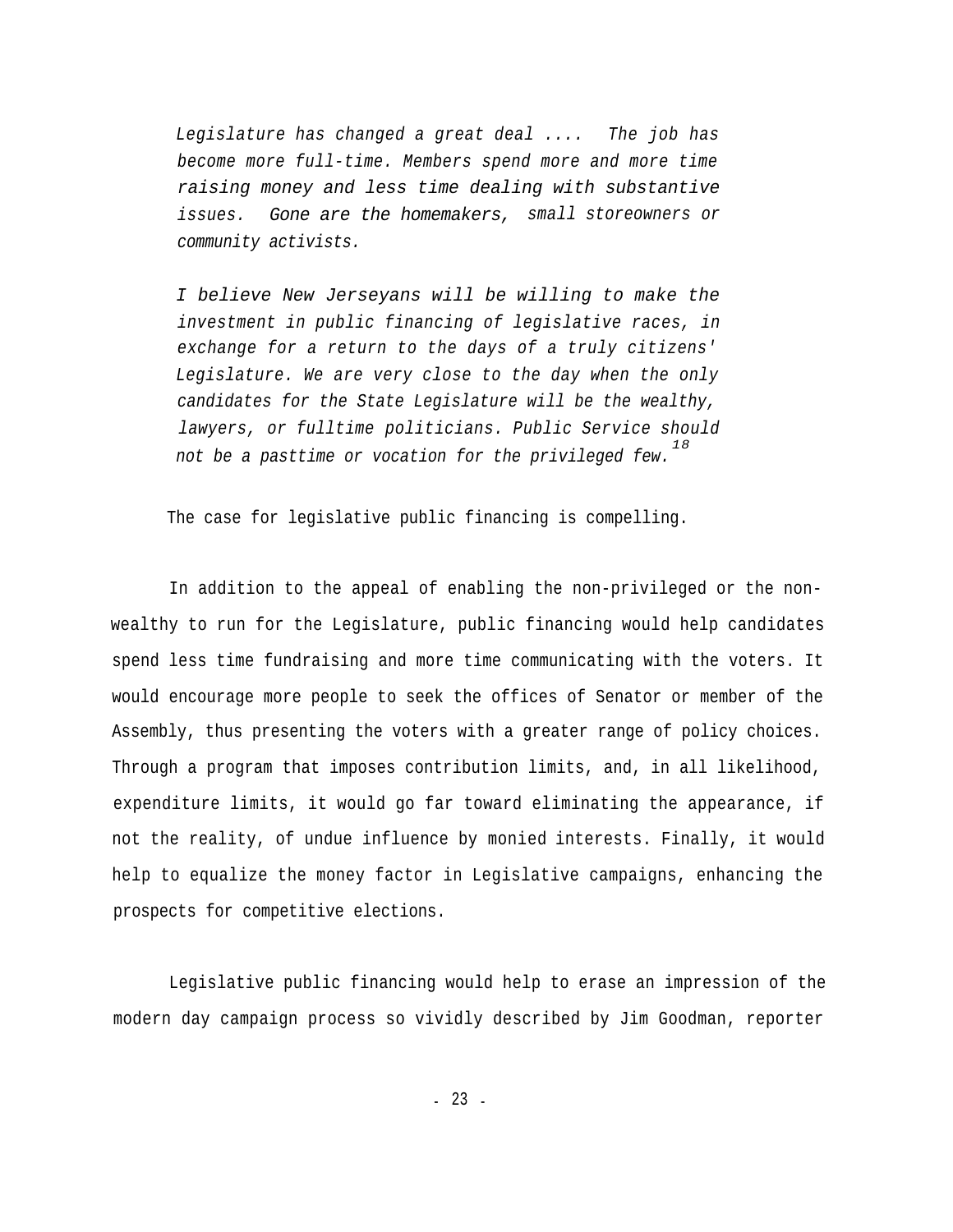*Legislature has changed a great deal .... The job has become more full-time. Members spend more and more time raising money and less time dealing with substantive issues. Gone are the homemakers, small storeowners or community activists.*

*I believe New Jerseyans will be willing to make the investment in public financing of legislative races, in exchange for a return to the days of a truly citizens' Legislature. We are very close to the day when the only candidates for the State Legislature will be the wealthy, lawyers, or fulltime politicians. Public Service should 18 not be a pasttime or vocation for the privileged few.*

The case for legislative public financing is compelling.

In addition to the appeal of enabling the non-privileged or the nonwealthy to run for the Legislature, public financing would help candidates spend less time fundraising and more time communicating with the voters. It would encourage more people to seek the offices of Senator or member of the Assembly, thus presenting the voters with a greater range of policy choices. Through a program that imposes contribution limits, and, in all likelihood, expenditure limits, it would go far toward eliminating the appearance, if not the reality, of undue influence by monied interests. Finally, it would help to equalize the money factor in Legislative campaigns, enhancing the prospects for competitive elections.

Legislative public financing would help to erase an impression of the modern day campaign process so vividly described by Jim Goodman, reporter

- 23 -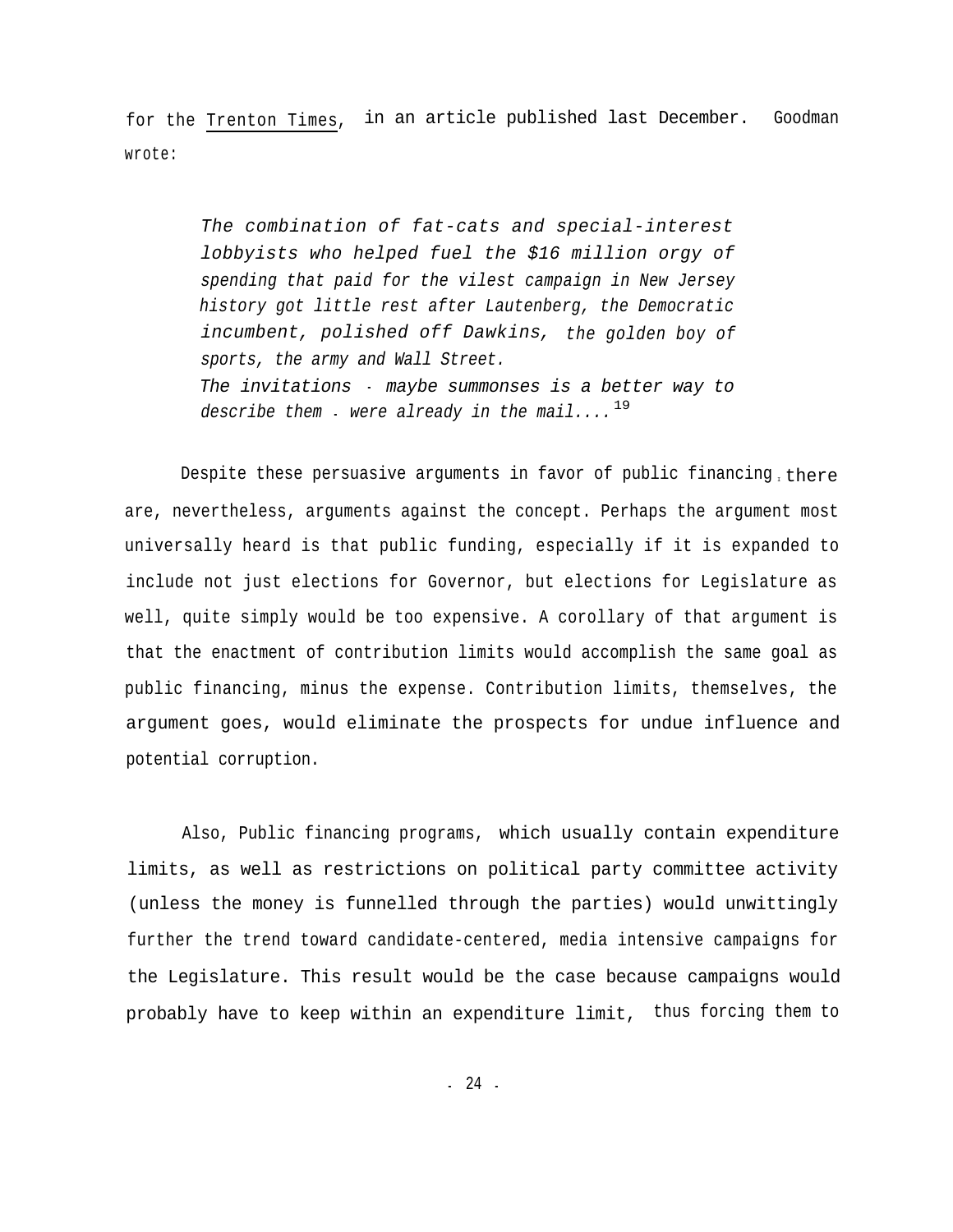for the Trenton Times, in an article published last December. Goodman wrote:

> *The combination of fat-cats and special-interest lobbyists who helped fuel the \$16 million orgy of spending that paid for the vilest campaign in New Jersey history got little rest after Lautenberg, the Democratic incumbent, polished off Dawkins, the golden boy of sports, the army and Wall Street. The invitations* - *maybe summonses is a better way to describe them* 19 - *were already in the mail....*

Despite these persuasive arguments in favor of public financing there are, nevertheless, arguments against the concept. Perhaps the argument most universally heard is that public funding, especially if it is expanded to include not just elections for Governor, but elections for Legislature as well, quite simply would be too expensive. A corollary of that argument is that the enactment of contribution limits would accomplish the same goal as public financing, minus the expense. Contribution limits, themselves, the argument goes, would eliminate the prospects for undue influence and potential corruption.

Also, Public financing programs, which usually contain expenditure limits, as well as restrictions on political party committee activity (unless the money is funnelled through the parties) would unwittingly further the trend toward candidate-centered, media intensive campaigns for the Legislature. This result would be the case because campaigns would probably have to keep within an expenditure limit, thus forcing them to

- 24 -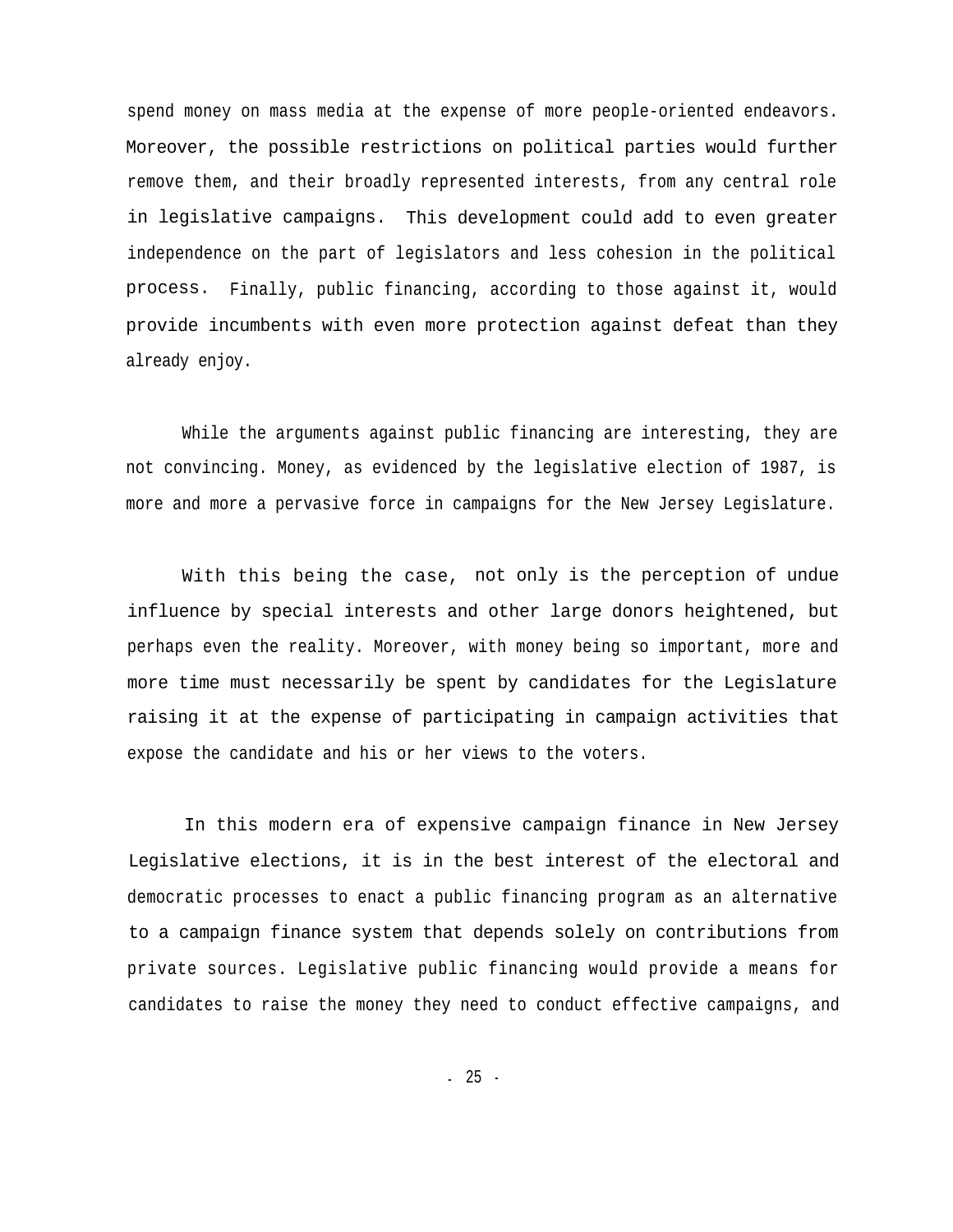spend money on mass media at the expense of more people-oriented endeavors. Moreover, the possible restrictions on political parties would further remove them, and their broadly represented interests, from any central role in legislative campaigns. This development could add to even greater independence on the part of legislators and less cohesion in the political process. Finally, public financing, according to those against it, would provide incumbents with even more protection against defeat than they already enjoy.

While the arguments against public financing are interesting, they are not convincing. Money, as evidenced by the legislative election of 1987, is more and more a pervasive force in campaigns for the New Jersey Legislature.

With this being the case, not only is the perception of undue influence by special interests and other large donors heightened, but perhaps even the reality. Moreover, with money being so important, more and more time must necessarily be spent by candidates for the Legislature raising it at the expense of participating in campaign activities that expose the candidate and his or her views to the voters.

In this modern era of expensive campaign finance in New Jersey Legislative elections, it is in the best interest of the electoral and democratic processes to enact a public financing program as an alternative to a campaign finance system that depends solely on contributions from private sources. Legislative public financing would provide a means for candidates to raise the money they need to conduct effective campaigns, and

- 25 -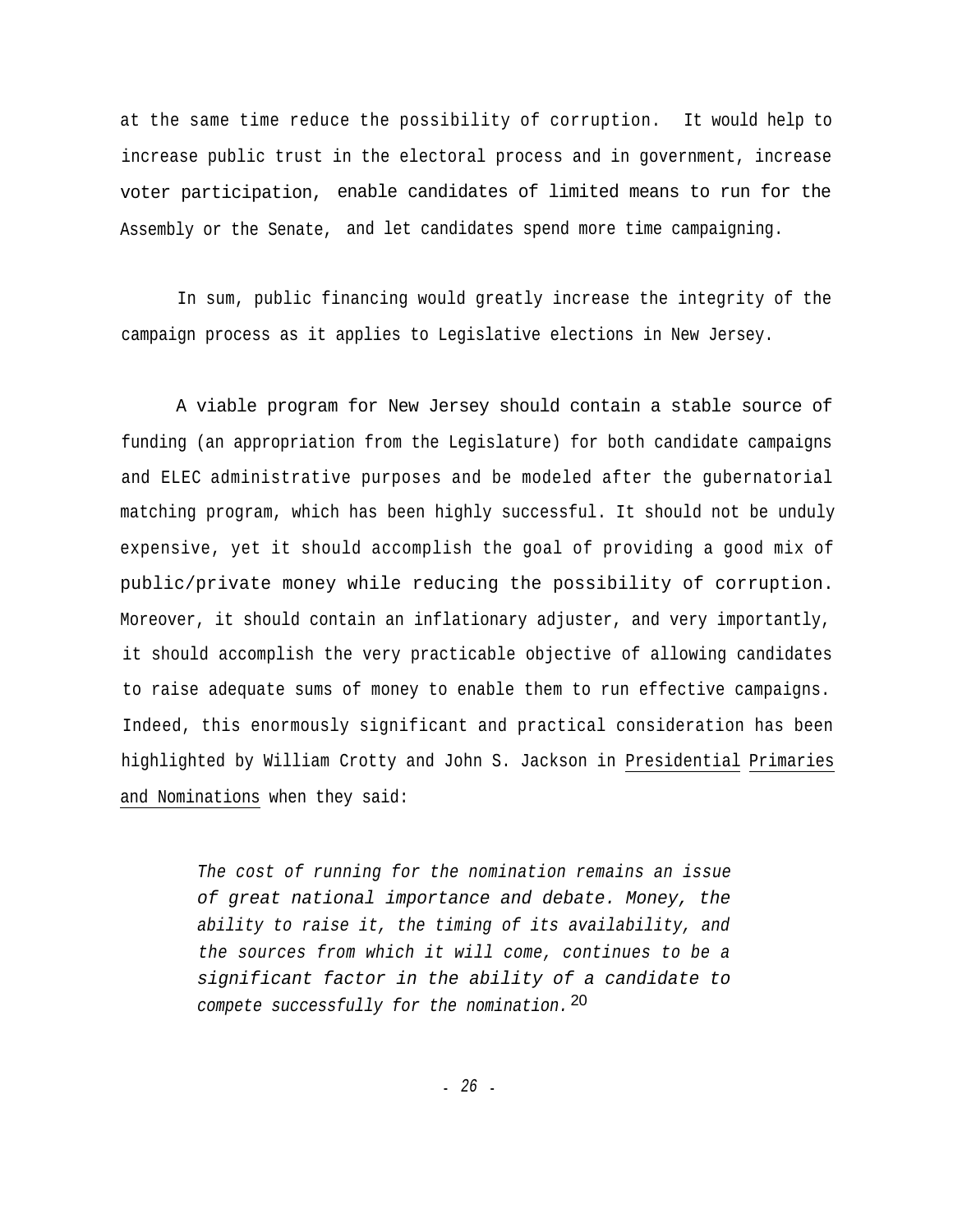at the same time reduce the possibility of corruption. It would help to increase public trust in the electoral process and in government, increase voter participation, enable candidates of limited means to run for the Assembly or the Senate, and let candidates spend more time campaigning.

In sum, public financing would greatly increase the integrity of the campaign process as it applies to Legislative elections in New Jersey.

A viable program for New Jersey should contain a stable source of funding (an appropriation from the Legislature) for both candidate campaigns and ELEC administrative purposes and be modeled after the gubernatorial matching program, which has been highly successful. It should not be unduly expensive, yet it should accomplish the goal of providing a good mix of public/private money while reducing the possibility of corruption. Moreover, it should contain an inflationary adjuster, and very importantly, it should accomplish the very practicable objective of allowing candidates to raise adequate sums of money to enable them to run effective campaigns. Indeed, this enormously significant and practical consideration has been highlighted by William Crotty and John S. Jackson in Presidential Primaries and Nominations when they said:

> *The cost of running for the nomination remains an issue of great national importance and debate. Money, the ability to raise it, the timing of its availability, and the sources from which it will come, continues to be a significant factor in the ability of a candidate to compete successfully for the nomination.* 20

> > - *26* -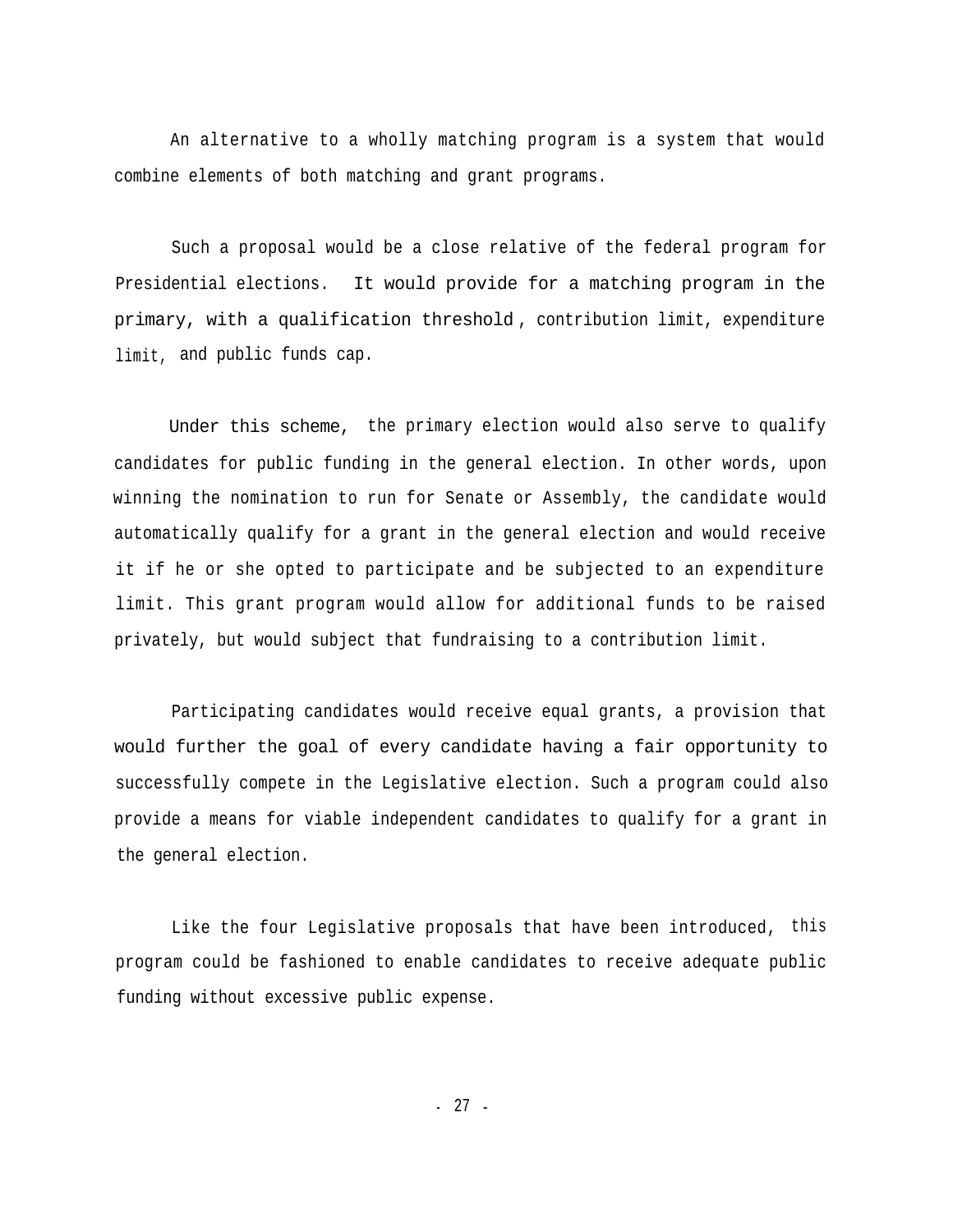An alternative to a wholly matching program is a system that would combine elements of both matching and grant programs.

Such a proposal would be a close relative of the federal program for Presidential elections. It would provide for a matching program in the primary, with a qualification threshold , contribution limit, expenditure limit, and public funds cap.

Under this scheme, the primary election would also serve to qualify candidates for public funding in the general election. In other words, upon winning the nomination to run for Senate or Assembly, the candidate would automatically qualify for a grant in the general election and would receive it if he or she opted to participate and be subjected to an expenditure limit. This grant program would allow for additional funds to be raised privately, but would subject that fundraising to a contribution limit.

Participating candidates would receive equal grants, a provision that would further the goal of every candidate having a fair opportunity to successfully compete in the Legislative election. Such a program could also provide a means for viable independent candidates to qualify for a grant in the general election.

Like the four Legislative proposals that have been introduced, this program could be fashioned to enable candidates to receive adequate public funding without excessive public expense.

- 27 -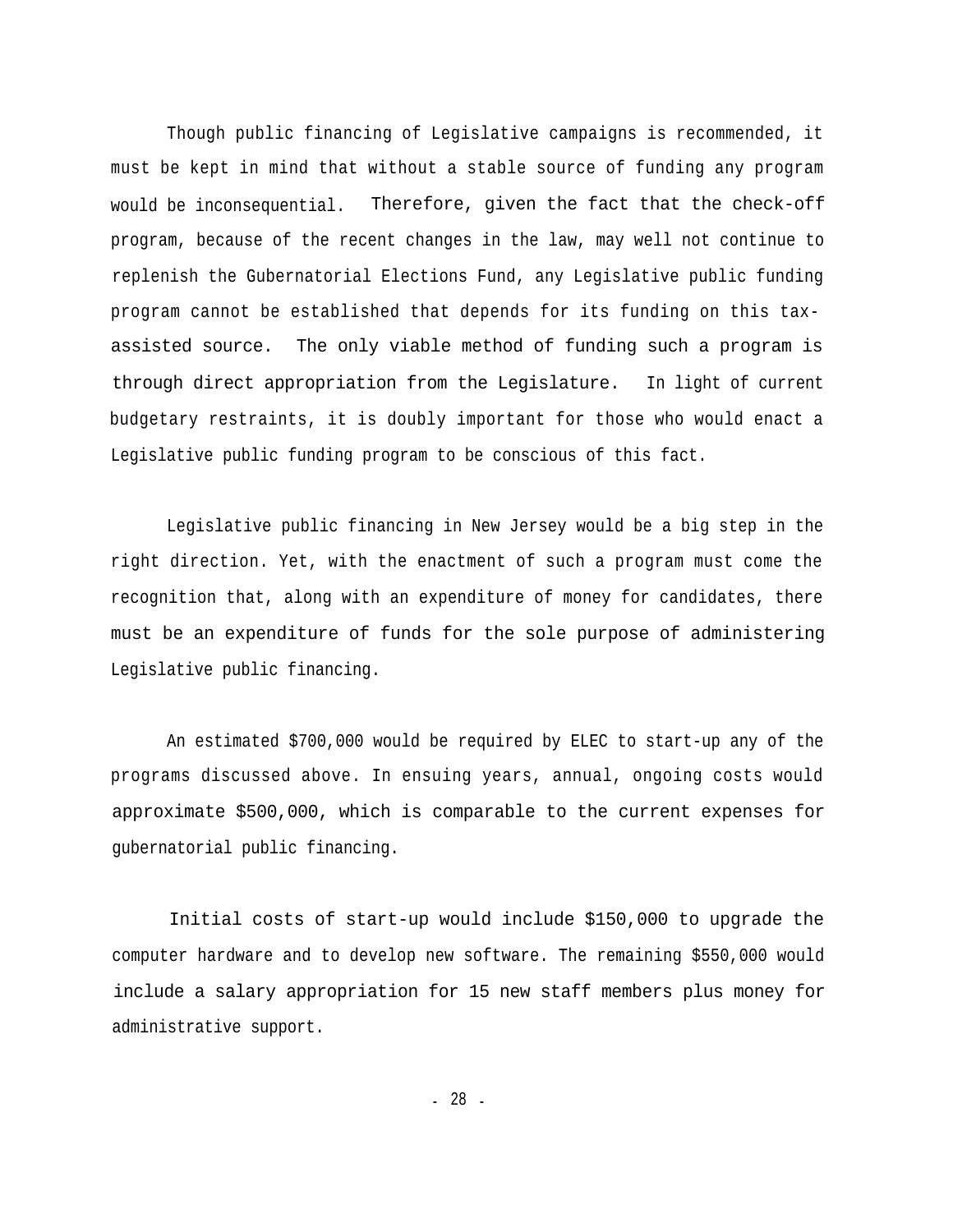Though public financing of Legislative campaigns is recommended, it must be kept in mind that without a stable source of funding any program would be inconsequential. Therefore, given the fact that the check-off program, because of the recent changes in the law, may well not continue to replenish the Gubernatorial Elections Fund, any Legislative public funding program cannot be established that depends for its funding on this taxassisted source. The only viable method of funding such a program is through direct appropriation from the Legislature. In light of current budgetary restraints, it is doubly important for those who would enact a Legislative public funding program to be conscious of this fact.

Legislative public financing in New Jersey would be a big step in the right direction. Yet, with the enactment of such a program must come the recognition that, along with an expenditure of money for candidates, there must be an expenditure of funds for the sole purpose of administering Legislative public financing.

An estimated \$700,000 would be required by ELEC to start-up any of the programs discussed above. In ensuing years, annual, ongoing costs would approximate \$500,000, which is comparable to the current expenses for gubernatorial public financing.

Initial costs of start-up would include \$150,000 to upgrade the computer hardware and to develop new software. The remaining \$550,000 would include a salary appropriation for 15 new staff members plus money for administrative support.

- 28 -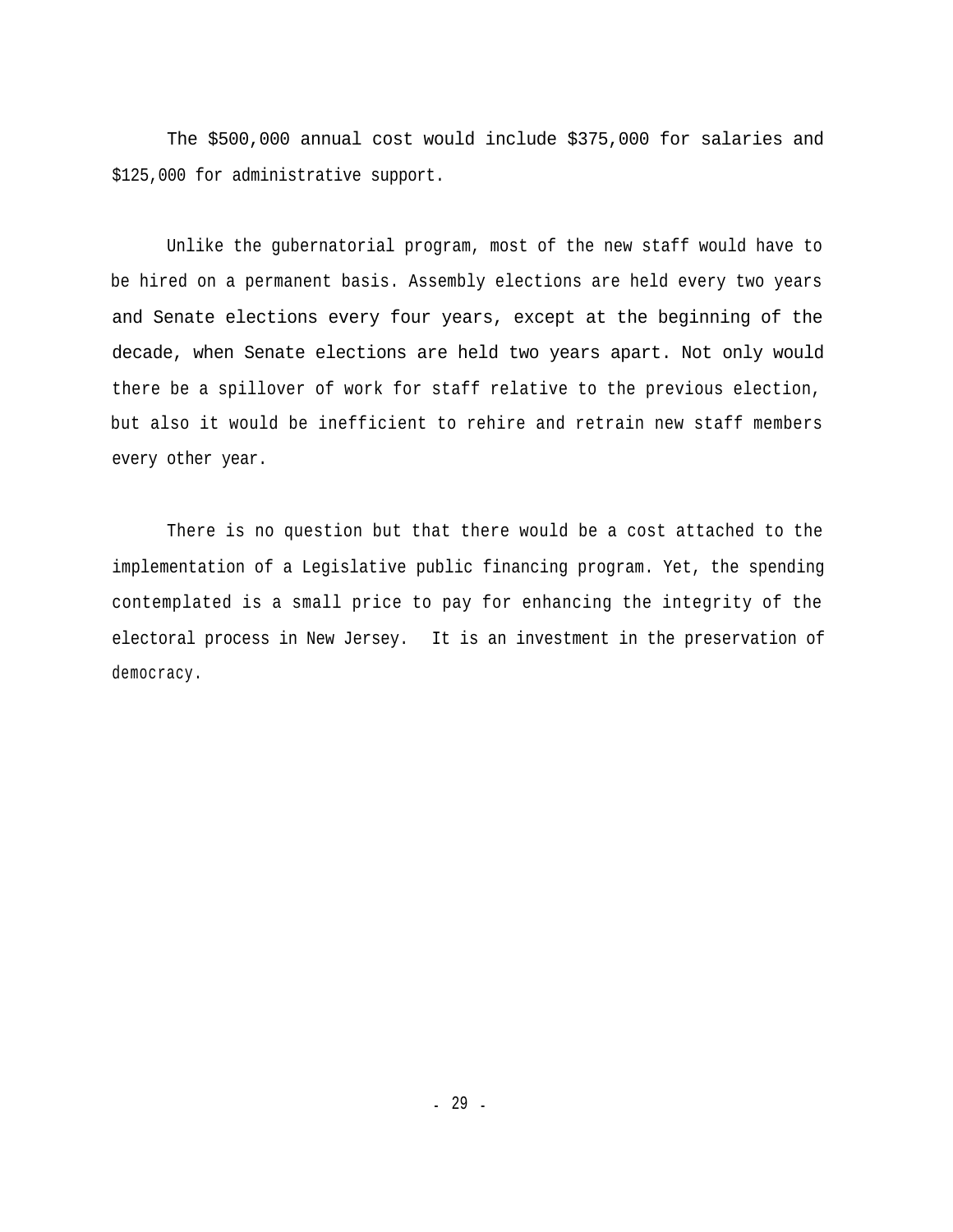The \$500,000 annual cost would include \$375,000 for salaries and \$125,000 for administrative support.

Unlike the gubernatorial program, most of the new staff would have to be hired on a permanent basis. Assembly elections are held every two years and Senate elections every four years, except at the beginning of the decade, when Senate elections are held two years apart. Not only would there be a spillover of work for staff relative to the previous election, but also it would be inefficient to rehire and retrain new staff members every other year.

There is no question but that there would be a cost attached to the implementation of a Legislative public financing program. Yet, the spending contemplated is a small price to pay for enhancing the integrity of the electoral process in New Jersey. It is an investment in the preservation of democracy.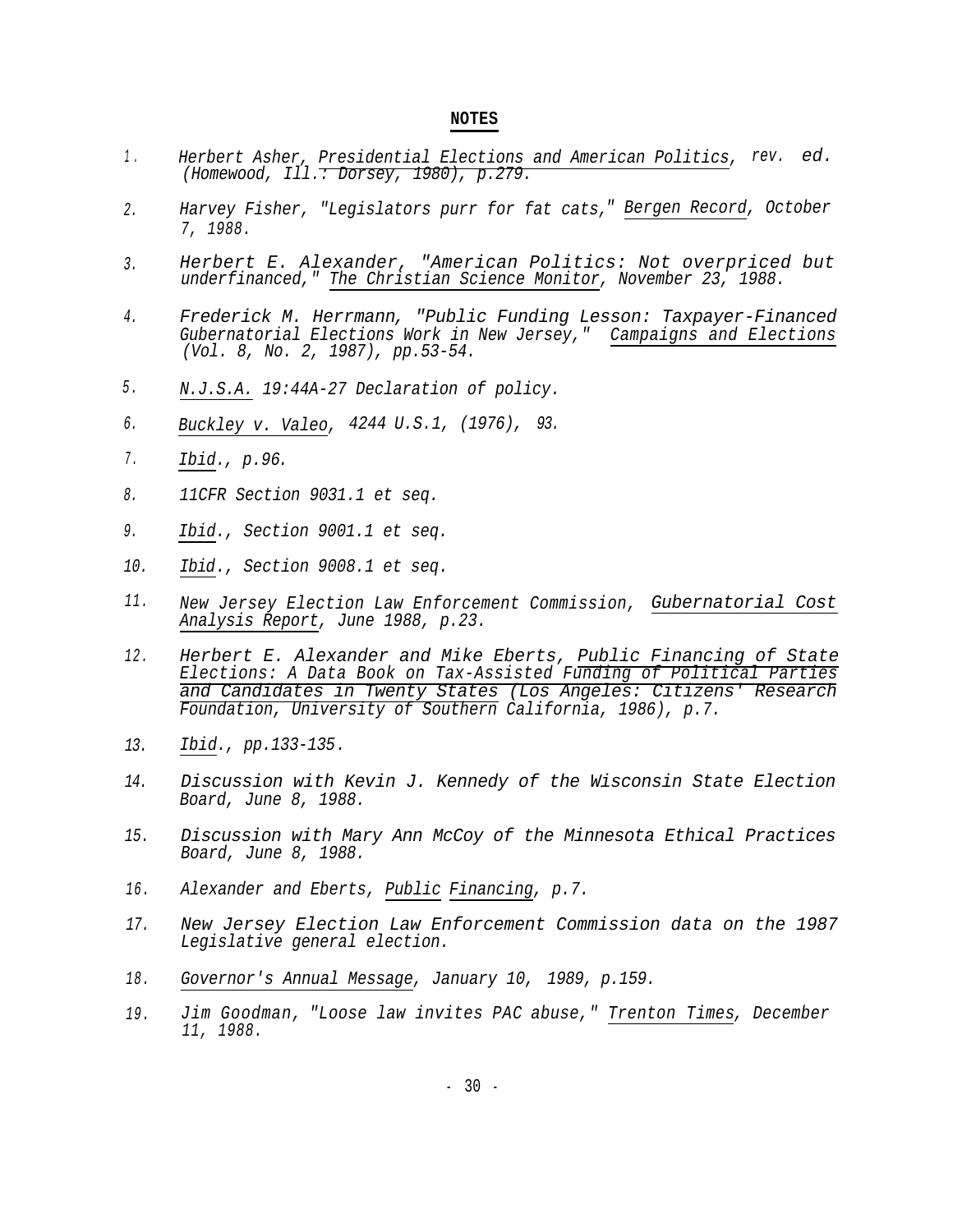#### **NOTES**

- *1 . Herbert Asher, Presidential Elections and American Politics, rev. ed. (Homewood, Ill.: Dorsey, 1980), p.279.*
- *2. Harvey Fisher, "Legislators purr for fat cats," Bergen Record, October 7, 1988.*
- *Herbert E. Alexander, "American Politics: Not overpriced but underfinanced," The Christian Science Monitor, November 23, 1988. 3.*
- *4. Frederick M. Herrmann, "Public Funding Lesson: Taxpayer-Financed Gubernatorial Elections Work in New Jersey," Campaigns and Elections (Vol. 8, No. 2, 1987), pp.53-54.*
- *5 . N.J.S.A. 19:44A-27 Declaration of policy.*
- *6. Buckley v. Valeo, 4244 U.S.1, (1976), 93.*
- *7 . Ibid., p.96.*
- *11CFR Section 9031.1 et seq. 8.*
- *Ibid., Section 9001.1 et seq. 9.*
- *Ibid., Section 9008.1 et seq. 10.*
- *11. New Jersey Election Law Enforcement Commission, Gubernatorial Cost Analysis Report, June 1988, p.23.*
- *12. Herbert E. Alexander and Mike Eberts, Public Financing of State Elections: A Data Book on Tax-Assisted Funding of Political Parties and Candidates in Twenty States (Los Angeles: Citizens' Research Foundation, University of Southern California, 1986), p.7.*
- *13. Ibid., pp.133-135.*
- *14. Discussion with Kevin J. Kennedy of the Wisconsin State Election Board, June 8, 1988.*
- *15. Discussion with Mary Ann McCoy of the Minnesota Ethical Practices Board, June 8, 1988.*
- *16. Alexander and Eberts, Public Financing, p.7.*
- *17. New Jersey Election Law Enforcement Commission data on the 1987 Legislative general election.*
- *18. Governor's Annual Message, January 10, 1989, p.159.*
- *19. Jim Goodman, "Loose law invites PAC abuse," Trenton Times, December 11, 1988.*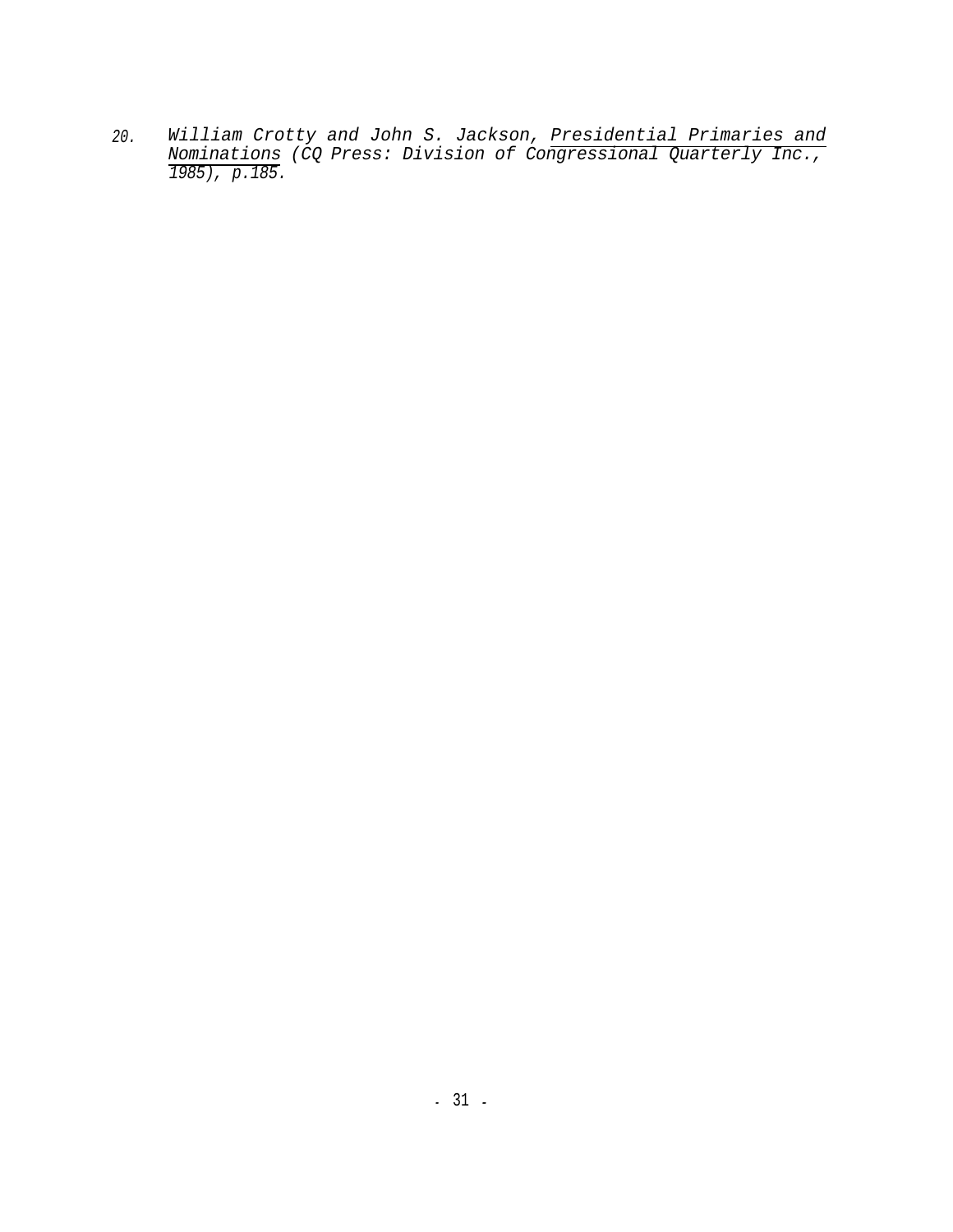*William Crotty and John S. Jackson, Presidential Primaries and Nominations (CQ Press: Division of Congressional Quarterly Inc., 1985), p.185. 20.*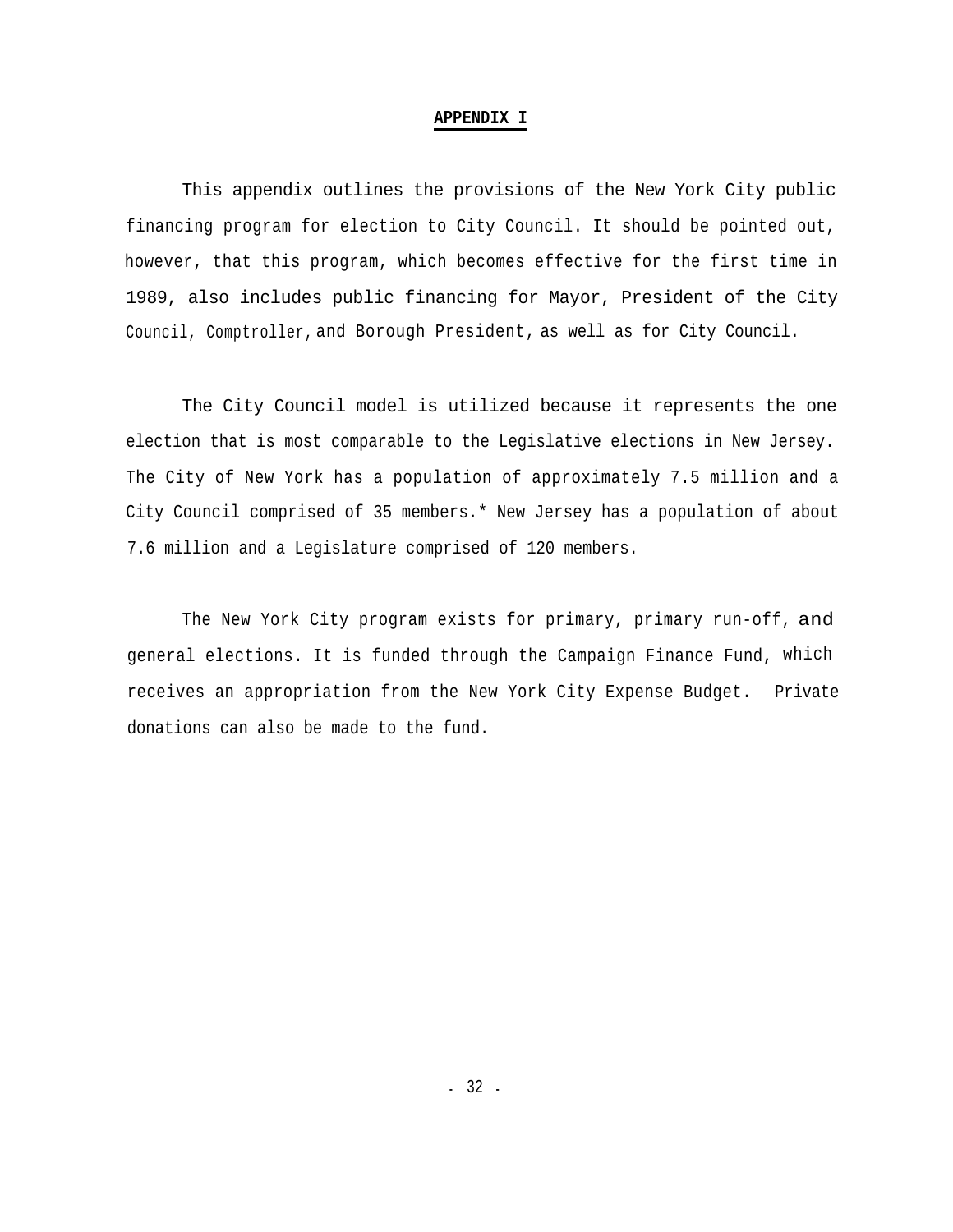#### **APPENDIX I**

This appendix outlines the provisions of the New York City public financing program for election to City Council. It should be pointed out, however, that this program, which becomes effective for the first time in 1989, also includes public financing for Mayor, President of the City Council, Comptroller, and Borough President, as well as for City Council.

The City Council model is utilized because it represents the one election that is most comparable to the Legislative elections in New Jersey. The City of New York has a population of approximately 7.5 million and a City Council comprised of 35 members.\* New Jersey has a population of about 7.6 million and a Legislature comprised of 120 members.

The New York City program exists for primary, primary run-off, and general elections. It is funded through the Campaign Finance Fund, which receives an appropriation from the New York City Expense Budget. Private donations can also be made to the fund.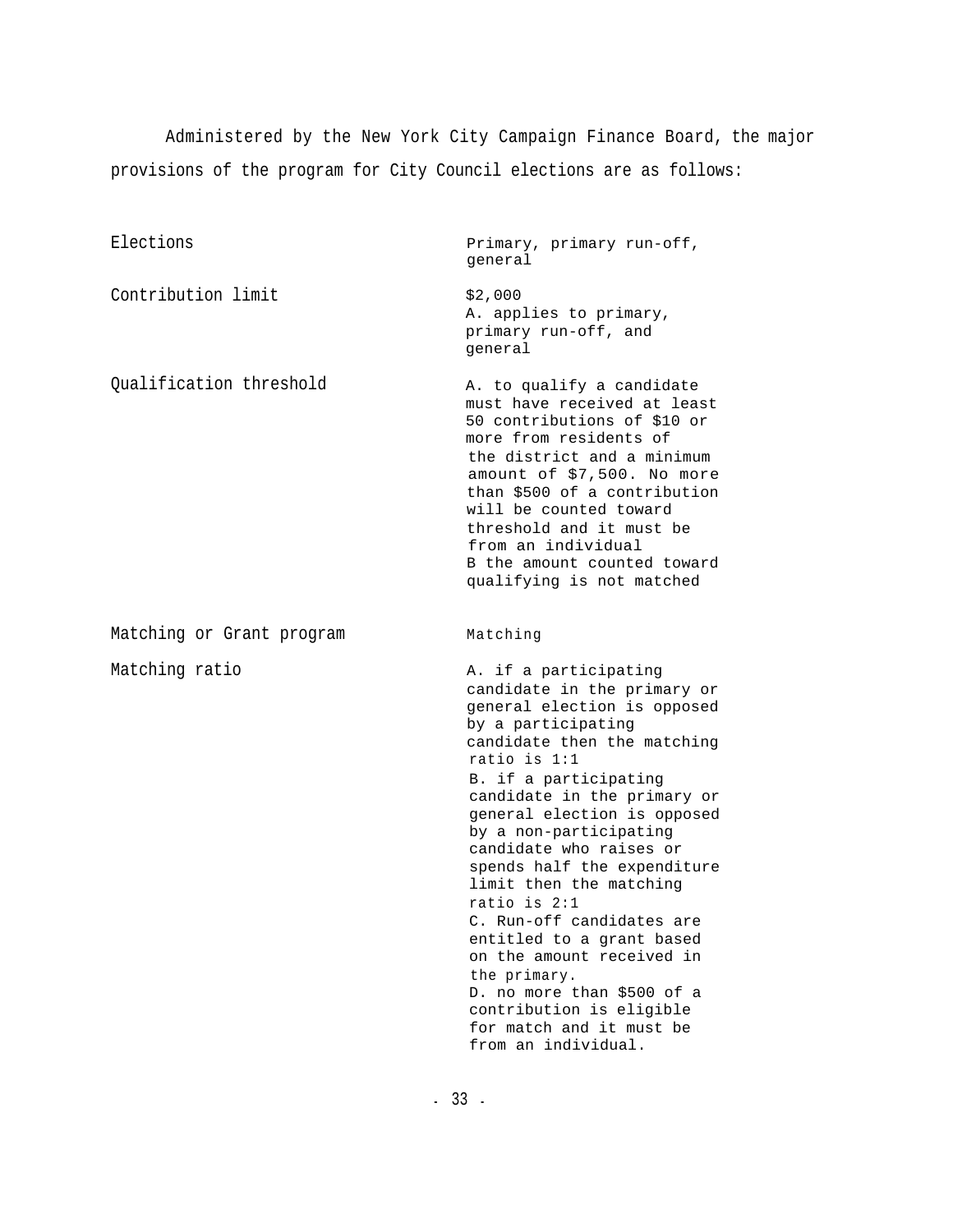Administered by the New York City Campaign Finance Board, the major provisions of the program for City Council elections are as follows:

Elections **Primary**, primary run-off, general \$2,000 A. applies to primary, primary run-off, and general Contribution limit Qualification threshold Table A. to qualify a candidate must have received at least 50 contributions of \$10 or more from residents of the district and a minimum amount of \$7,500. No more than \$500 of a contribution will be counted toward threshold and it must be from an individual B the amount counted toward qualifying is not matched Matching or Grant program Matching Matching ratio  $A.$  if a participating candidate in the primary or general election is opposed by a participating candidate then the matching ratio is 1:1 B. if a participating candidate in the primary or general election is opposed by a non-participating candidate who raises or spends half the expenditure limit then the matching ratio is 2:1 C. Run-off candidates are entitled to a grant based on the amount received in the primary. D. no more than \$500 of a contribution is eligible for match and it must be from an individual.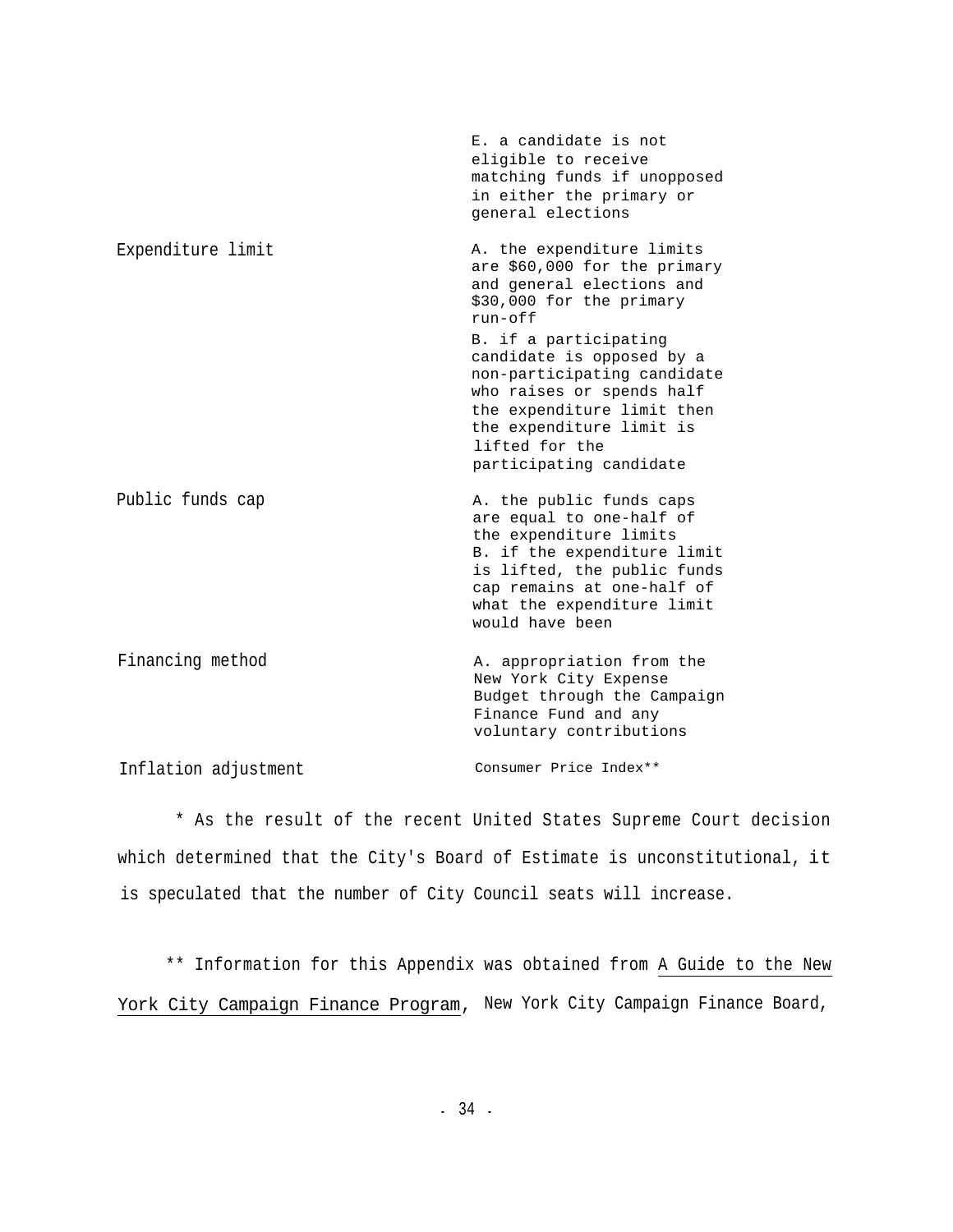|                      | E. a candidate is not<br>eligible to receive<br>matching funds if unopposed<br>in either the primary or<br>general elections                                                                                                                                                                                                                             |
|----------------------|----------------------------------------------------------------------------------------------------------------------------------------------------------------------------------------------------------------------------------------------------------------------------------------------------------------------------------------------------------|
| Expenditure limit    | A. the expenditure limits<br>are \$60,000 for the primary<br>and general elections and<br>\$30,000 for the primary<br>$run-off$<br>B. if a participating<br>candidate is opposed by a<br>non-participating candidate<br>who raises or spends half<br>the expenditure limit then<br>the expenditure limit is<br>lifted for the<br>participating candidate |
| Public funds cap     | A. the public funds caps<br>are equal to one-half of<br>the expenditure limits<br>B. if the expenditure limit<br>is lifted, the public funds<br>cap remains at one-half of<br>what the expenditure limit<br>would have been                                                                                                                              |
| Financing method     | A. appropriation from the<br>New York City Expense<br>Budget through the Campaign<br>Finance Fund and any<br>voluntary contributions                                                                                                                                                                                                                     |
| Inflation adjustment | Consumer Price Index**                                                                                                                                                                                                                                                                                                                                   |

\* As the result of the recent United States Supreme Court decision which determined that the City's Board of Estimate is unconstitutional, it is speculated that the number of City Council seats will increase.

\*\* Information for this Appendix was obtained from A Guide to the New York City Campaign Finance Program, New York City Campaign Finance Board,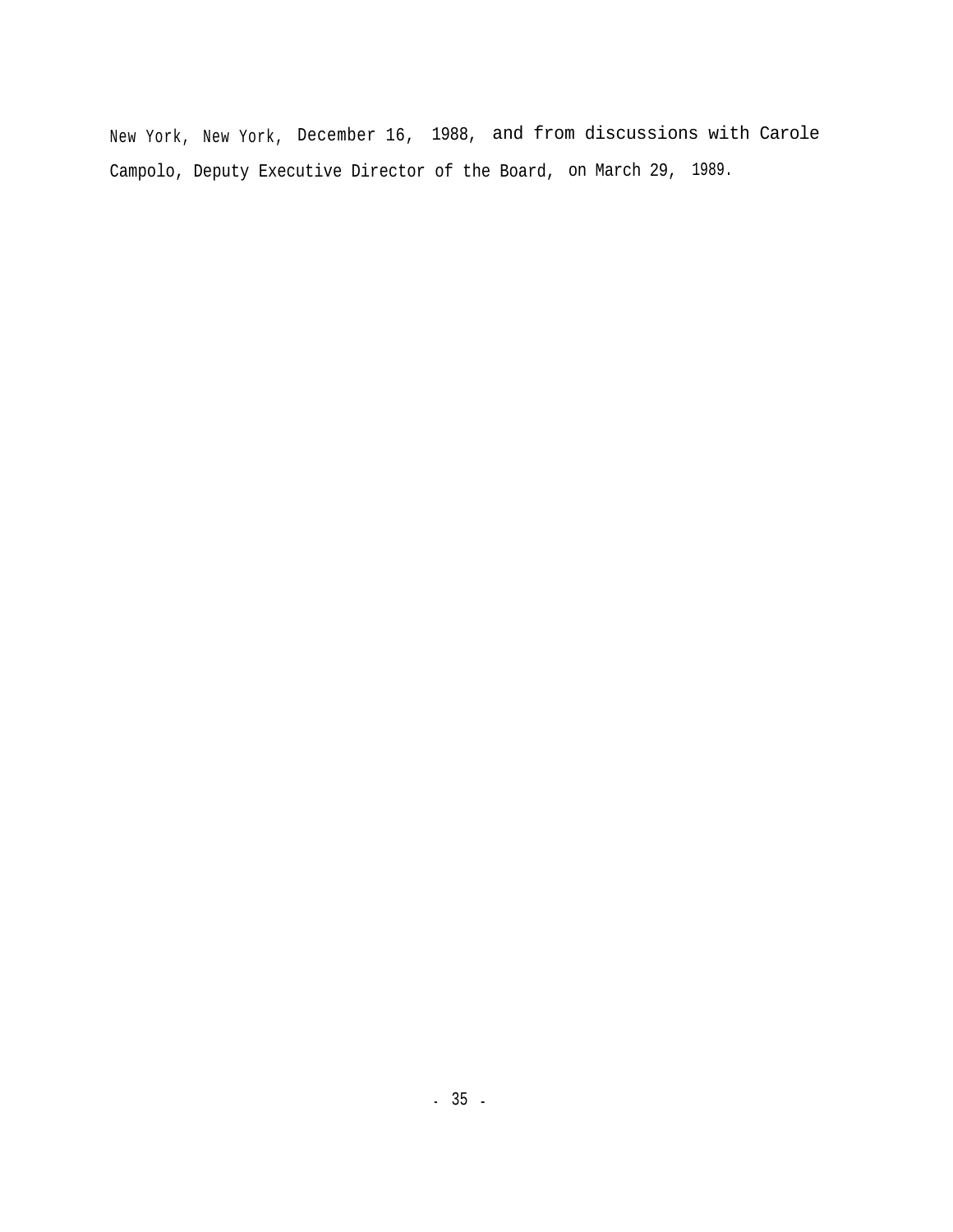New York, New York, December 16, 1988, and from discussions with Carole Campolo, Deputy Executive Director of the Board, on March 29, 1989.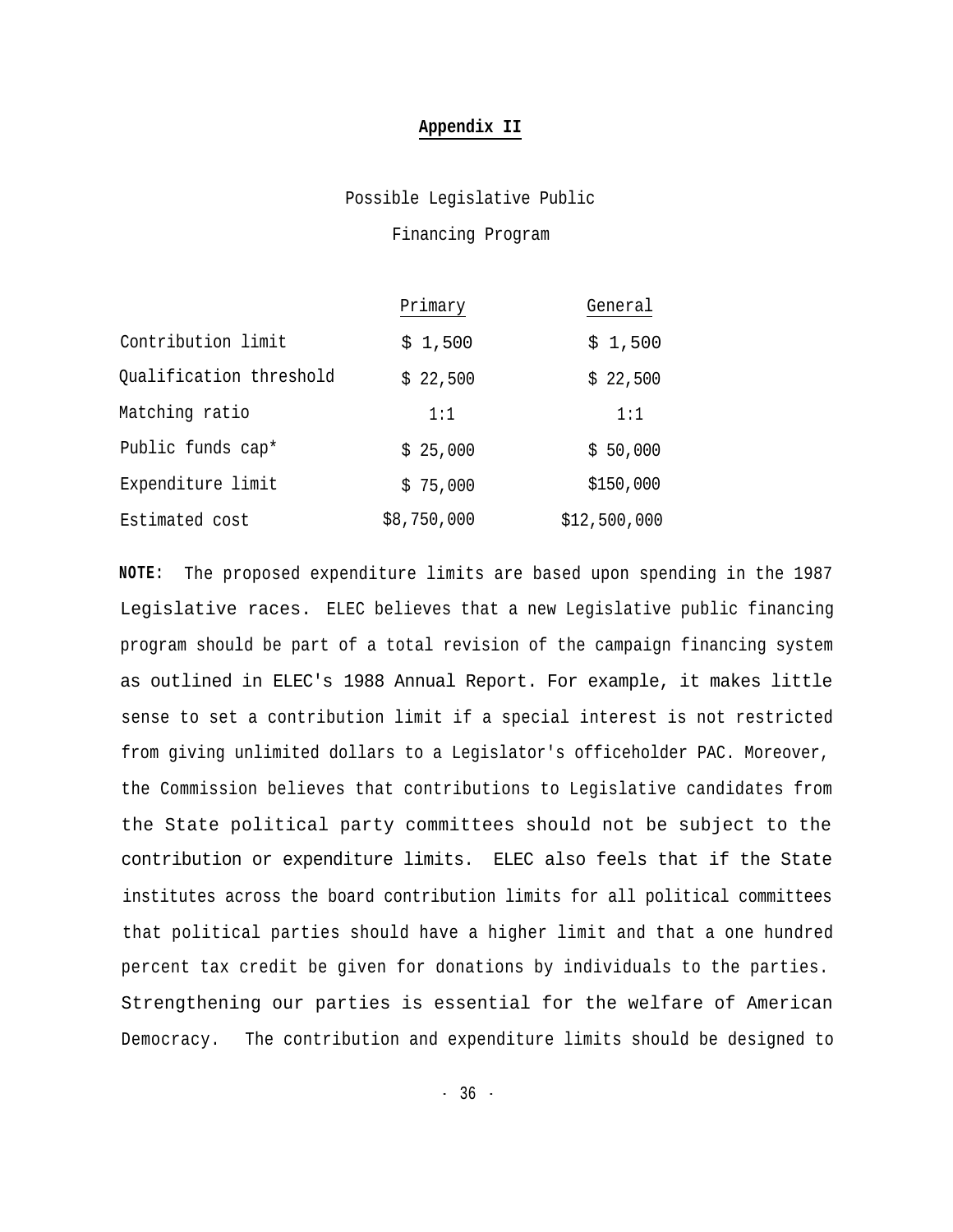#### **Appendix II**

Possible Legislative Public

Financing Program

|                         | Primary     | General      |
|-------------------------|-------------|--------------|
| Contribution limit      | \$1,500     | \$1,500      |
| Qualification threshold | \$22,500    | \$22,500     |
| Matching ratio          | 1:1         | 1:1          |
| Public funds cap*       | \$25,000    | \$50,000     |
| Expenditure limit       | \$75,000    | \$150,000    |
| Estimated cost          | \$8,750,000 | \$12,500,000 |

**NOTE:** The proposed expenditure limits are based upon spending in the 1987 Legislative races. ELEC believes that a new Legislative public financing program should be part of a total revision of the campaign financing system as outlined in ELEC's 1988 Annual Report. For example, it makes little sense to set a contribution limit if a special interest is not restricted from giving unlimited dollars to a Legislator's officeholder PAC. Moreover, the Commission believes that contributions to Legislative candidates from the State political party committees should not be subject to the contribution or expenditure limits. ELEC also feels that if the State institutes across the board contribution limits for all political committees that political parties should have a higher limit and that a one hundred percent tax credit be given for donations by individuals to the parties. Strengthening our parties is essential for the welfare of American Democracy. The contribution and expenditure limits should be designed to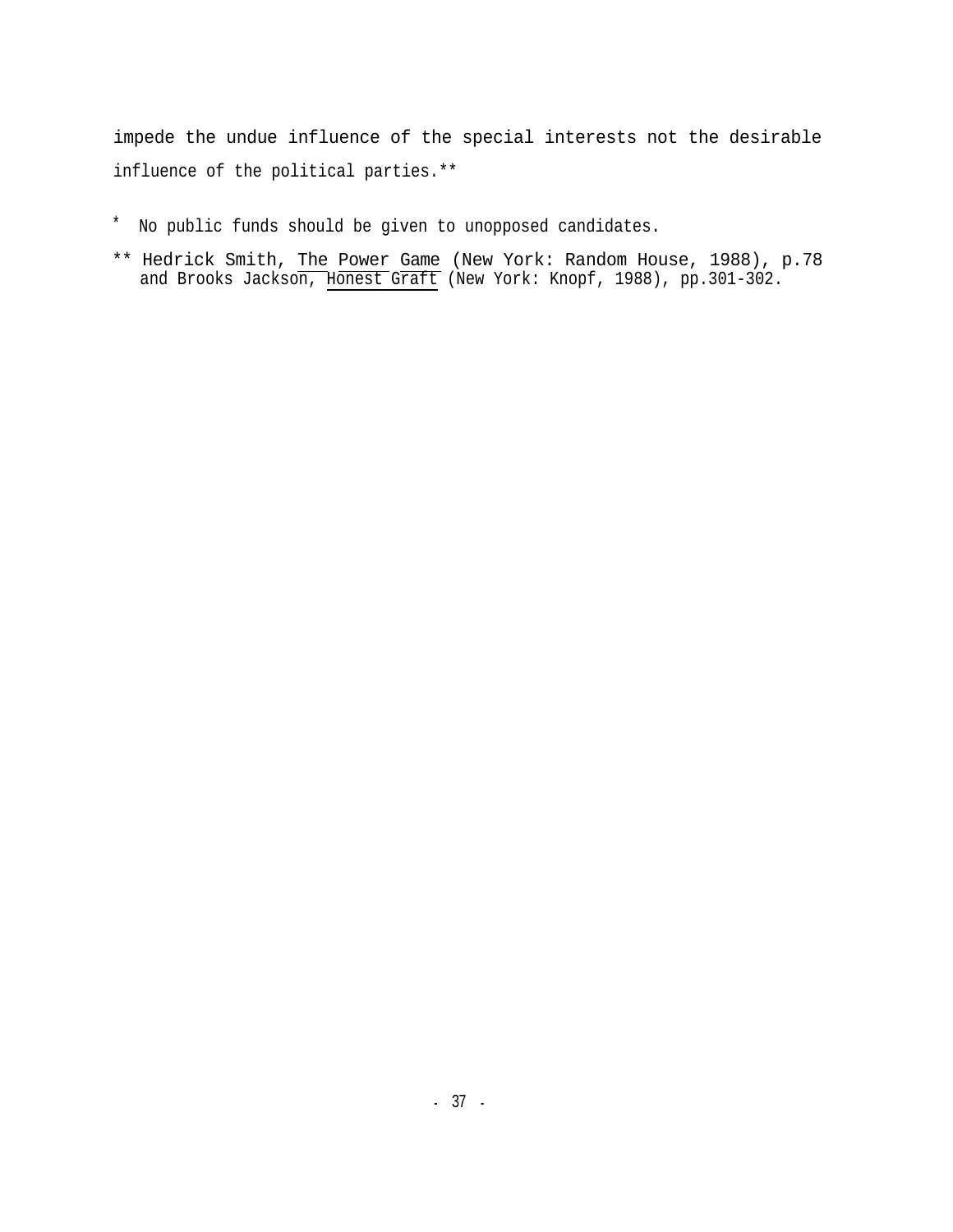impede the undue influence of the special interests not the desirable influence of the political parties.\*\*

- \* No public funds should be given to unopposed candidates.
- \*\* Hedrick Smith, The Power Game (New York: Random House, 1988), p.78 and Brooks Jackson, Honest Graft (New York: Knopf, 1988), pp.301-302.